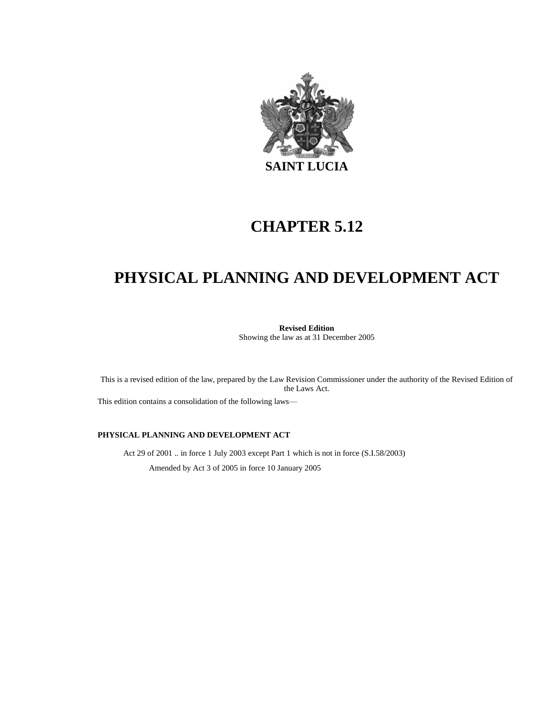

# **CHAPTER 5.12**

# **PHYSICAL PLANNING AND DEVELOPMENT ACT**

**Revised Edition** Showing the law as at 31 December 2005

This is a revised edition of the law, prepared by the Law Revision Commissioner under the authority of the Revised Edition of the Laws Act.

This edition contains a consolidation of the following laws—

#### **PHYSICAL PLANNING AND DEVELOPMENT ACT**

Act 29 of 2001 .. in force 1 July 2003 except Part 1 which is not in force (S.I.58/2003) Amended by Act 3 of 2005 in force 10 January 2005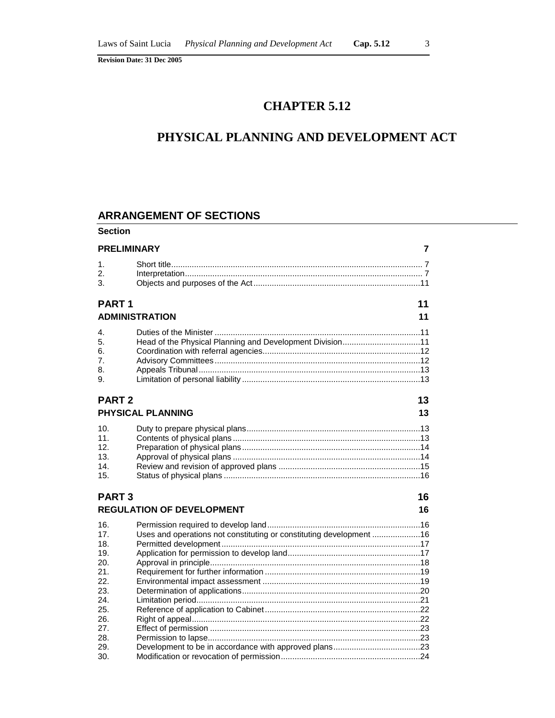# **CHAPTER 5.12**

# **PHYSICAL PLANNING AND DEVELOPMENT ACT**

## **ARRANGEMENT OF SECTIONS**

| <b>Section</b>                                                                   |                                                                     |    |  |
|----------------------------------------------------------------------------------|---------------------------------------------------------------------|----|--|
| <b>PRELIMINARY</b><br>7                                                          |                                                                     |    |  |
| 1.<br>2.<br>3.                                                                   |                                                                     |    |  |
| <b>PART1</b>                                                                     |                                                                     | 11 |  |
|                                                                                  | <b>ADMINISTRATION</b>                                               | 11 |  |
| 4.<br>5.<br>6.<br>7.<br>8.<br>9.                                                 | Head of the Physical Planning and Development Division11            |    |  |
| <b>PART 2</b><br>13<br>PHYSICAL PLANNING                                         |                                                                     |    |  |
| 10.<br>11.<br>12.<br>13.<br>14.<br>15.                                           |                                                                     |    |  |
| <b>PART3</b>                                                                     |                                                                     | 16 |  |
|                                                                                  | <b>REGULATION OF DEVELOPMENT</b>                                    | 16 |  |
| 16.<br>17.<br>18.<br>19.<br>20.<br>21.<br>22.<br>23.<br>24.<br>25.<br>26.<br>27. | Uses and operations not constituting or constituting development 16 |    |  |
| 28.<br>29.<br>30.                                                                |                                                                     |    |  |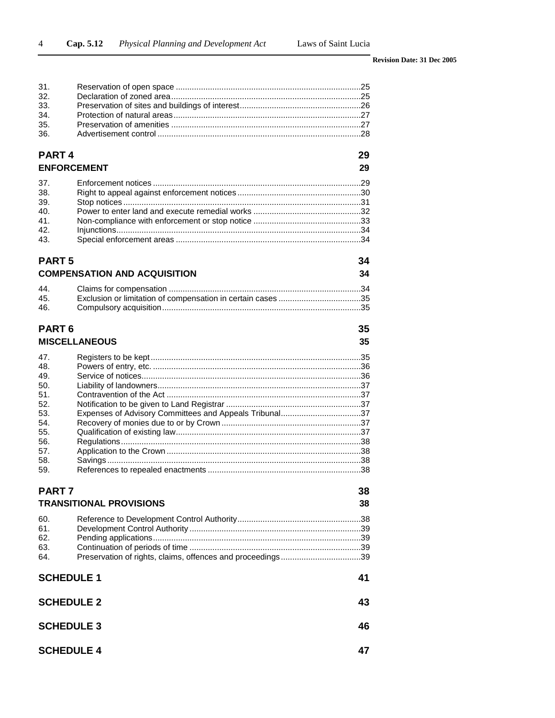| 31.                     |                                                            |    |  |
|-------------------------|------------------------------------------------------------|----|--|
| 32.                     |                                                            |    |  |
| 33.<br>34.              |                                                            |    |  |
| 35.                     |                                                            |    |  |
| 36.                     |                                                            |    |  |
|                         |                                                            |    |  |
| PART <sub>4</sub><br>29 |                                                            |    |  |
| <b>ENFORCEMENT</b>      |                                                            | 29 |  |
| 37.                     |                                                            |    |  |
| 38.                     |                                                            |    |  |
| 39.                     |                                                            |    |  |
| 40.                     |                                                            |    |  |
| 41.                     |                                                            |    |  |
| 42.<br>43.              |                                                            |    |  |
|                         |                                                            |    |  |
| <b>PART 5</b><br>34     |                                                            |    |  |
|                         | <b>COMPENSATION AND ACQUISITION</b>                        | 34 |  |
| 44.                     |                                                            |    |  |
| 45.                     |                                                            |    |  |
| 46.                     |                                                            |    |  |
| PART <sub>6</sub><br>35 |                                                            |    |  |
|                         | <b>MISCELLANEOUS</b>                                       | 35 |  |
|                         |                                                            |    |  |
| 47.                     |                                                            |    |  |
| 48.<br>49.              |                                                            |    |  |
| 50.                     |                                                            |    |  |
| 51.                     |                                                            |    |  |
| 52.                     |                                                            |    |  |
| 53.                     | Expenses of Advisory Committees and Appeals Tribunal37     |    |  |
| 54.                     |                                                            |    |  |
| 55.                     |                                                            |    |  |
| 56.                     |                                                            |    |  |
| 57.                     |                                                            |    |  |
| 58.                     |                                                            |    |  |
| 59.                     |                                                            |    |  |
| PART 7                  |                                                            | 38 |  |
|                         | <b>TRANSITIONAL PROVISIONS</b>                             | 38 |  |
| 60.                     |                                                            |    |  |
| 61.                     |                                                            |    |  |
| 62.                     |                                                            |    |  |
| 63.                     |                                                            |    |  |
| 64.                     | Preservation of rights, claims, offences and proceedings39 |    |  |
| <b>SCHEDULE 1</b><br>41 |                                                            |    |  |
| <b>SCHEDULE 2</b><br>43 |                                                            |    |  |
|                         |                                                            |    |  |
| <b>SCHEDULE 3</b><br>46 |                                                            |    |  |
|                         | <b>SCHEDULE 4</b><br>47                                    |    |  |
|                         |                                                            |    |  |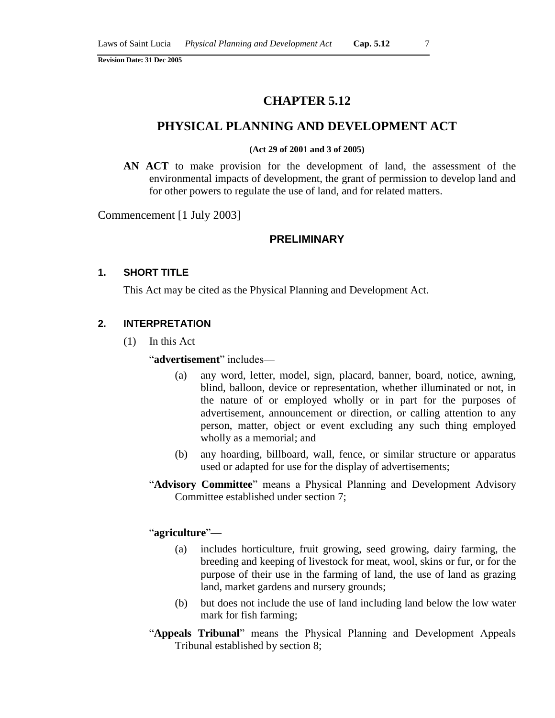## **CHAPTER 5.12**

### **PHYSICAL PLANNING AND DEVELOPMENT ACT**

#### **(Act 29 of 2001 and 3 of 2005)**

**AN ACT** to make provision for the development of land, the assessment of the environmental impacts of development, the grant of permission to develop land and for other powers to regulate the use of land, and for related matters.

Commencement [1 July 2003]

#### **PRELIMINARY**

### **1. SHORT TITLE**

This Act may be cited as the Physical Planning and Development Act.

#### **2. INTERPRETATION**

(1) In this Act—

"**advertisement**" includes—

- (a) any word, letter, model, sign, placard, banner, board, notice, awning, blind, balloon, device or representation, whether illuminated or not, in the nature of or employed wholly or in part for the purposes of advertisement, announcement or direction, or calling attention to any person, matter, object or event excluding any such thing employed wholly as a memorial; and
- (b) any hoarding, billboard, wall, fence, or similar structure or apparatus used or adapted for use for the display of advertisements;
- "**Advisory Committee**" means a Physical Planning and Development Advisory Committee established under section 7;

#### "**agriculture**"—

- (a) includes horticulture, fruit growing, seed growing, dairy farming, the breeding and keeping of livestock for meat, wool, skins or fur, or for the purpose of their use in the farming of land, the use of land as grazing land, market gardens and nursery grounds;
- (b) but does not include the use of land including land below the low water mark for fish farming;
- "**Appeals Tribunal**" means the Physical Planning and Development Appeals Tribunal established by section 8;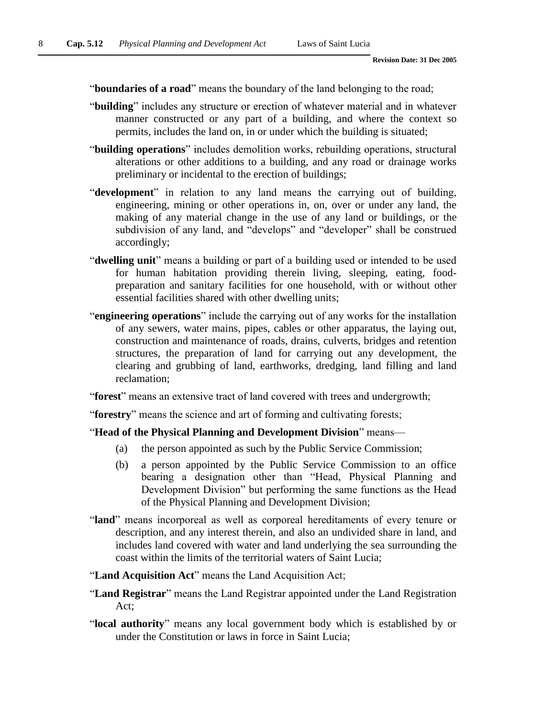"**boundaries of a road**" means the boundary of the land belonging to the road;

- "**building**" includes any structure or erection of whatever material and in whatever manner constructed or any part of a building, and where the context so permits, includes the land on, in or under which the building is situated;
- "**building operations**" includes demolition works, rebuilding operations, structural alterations or other additions to a building, and any road or drainage works preliminary or incidental to the erection of buildings;
- "**development**" in relation to any land means the carrying out of building, engineering, mining or other operations in, on, over or under any land, the making of any material change in the use of any land or buildings, or the subdivision of any land, and "develops" and "developer" shall be construed accordingly;
- "**dwelling unit**" means a building or part of a building used or intended to be used for human habitation providing therein living, sleeping, eating, foodpreparation and sanitary facilities for one household, with or without other essential facilities shared with other dwelling units;
- "**engineering operations**" include the carrying out of any works for the installation of any sewers, water mains, pipes, cables or other apparatus, the laying out, construction and maintenance of roads, drains, culverts, bridges and retention structures, the preparation of land for carrying out any development, the clearing and grubbing of land, earthworks, dredging, land filling and land reclamation;
- "**forest**" means an extensive tract of land covered with trees and undergrowth;
- "**forestry**" means the science and art of forming and cultivating forests;
- "**Head of the Physical Planning and Development Division**" means—
	- (a) the person appointed as such by the Public Service Commission;
	- (b) a person appointed by the Public Service Commission to an office bearing a designation other than "Head, Physical Planning and Development Division" but performing the same functions as the Head of the Physical Planning and Development Division;
- "**land**" means incorporeal as well as corporeal hereditaments of every tenure or description, and any interest therein, and also an undivided share in land, and includes land covered with water and land underlying the sea surrounding the coast within the limits of the territorial waters of Saint Lucia;
- "**Land Acquisition Act**" means the Land Acquisition Act;
- "**Land Registrar**" means the Land Registrar appointed under the Land Registration Act;
- "**local authority**" means any local government body which is established by or under the Constitution or laws in force in Saint Lucia;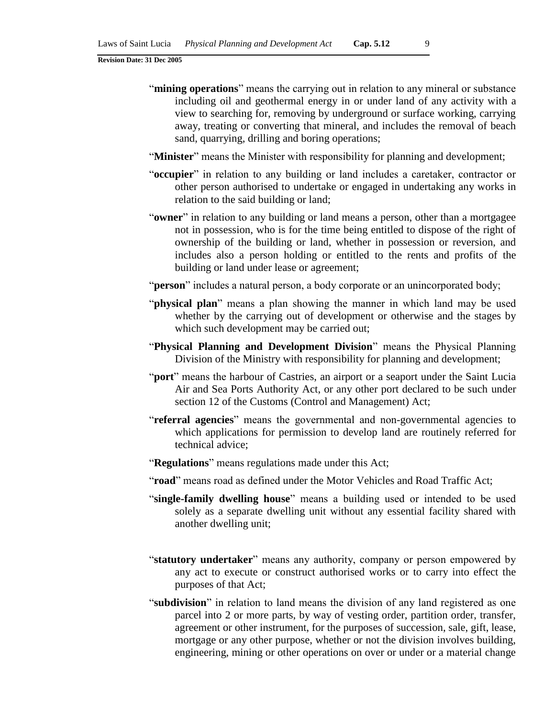- "**mining operations**" means the carrying out in relation to any mineral or substance including oil and geothermal energy in or under land of any activity with a view to searching for, removing by underground or surface working, carrying away, treating or converting that mineral, and includes the removal of beach sand, quarrying, drilling and boring operations;
- "**Minister**" means the Minister with responsibility for planning and development;
- "**occupier**" in relation to any building or land includes a caretaker, contractor or other person authorised to undertake or engaged in undertaking any works in relation to the said building or land;
- "**owner**" in relation to any building or land means a person, other than a mortgagee not in possession, who is for the time being entitled to dispose of the right of ownership of the building or land, whether in possession or reversion, and includes also a person holding or entitled to the rents and profits of the building or land under lease or agreement;
- "**person**" includes a natural person, a body corporate or an unincorporated body;
- "**physical plan**" means a plan showing the manner in which land may be used whether by the carrying out of development or otherwise and the stages by which such development may be carried out;
- "**Physical Planning and Development Division**" means the Physical Planning Division of the Ministry with responsibility for planning and development;
- "**port**" means the harbour of Castries, an airport or a seaport under the Saint Lucia Air and Sea Ports Authority Act, or any other port declared to be such under section 12 of the Customs (Control and Management) Act;
- "**referral agencies**" means the governmental and non-governmental agencies to which applications for permission to develop land are routinely referred for technical advice;
- "**Regulations**" means regulations made under this Act;
- "**road**" means road as defined under the Motor Vehicles and Road Traffic Act;
- "**single-family dwelling house**" means a building used or intended to be used solely as a separate dwelling unit without any essential facility shared with another dwelling unit;
- "**statutory undertaker**" means any authority, company or person empowered by any act to execute or construct authorised works or to carry into effect the purposes of that Act;
- "**subdivision**" in relation to land means the division of any land registered as one parcel into 2 or more parts, by way of vesting order, partition order, transfer, agreement or other instrument, for the purposes of succession, sale, gift, lease, mortgage or any other purpose, whether or not the division involves building, engineering, mining or other operations on over or under or a material change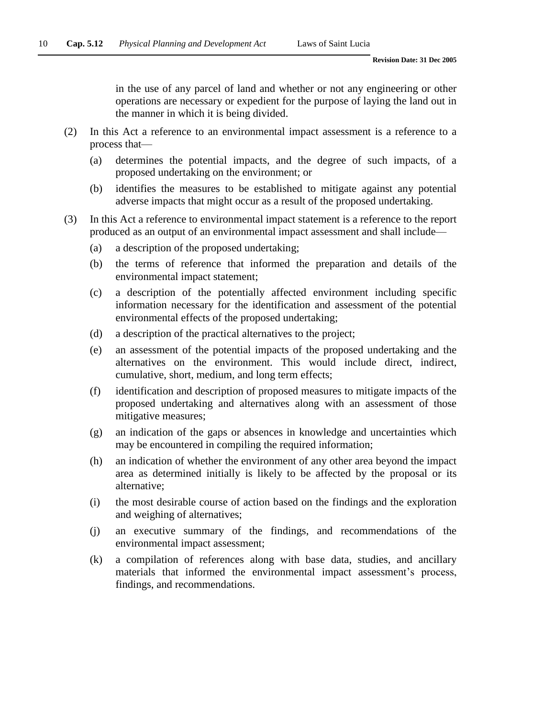in the use of any parcel of land and whether or not any engineering or other operations are necessary or expedient for the purpose of laying the land out in the manner in which it is being divided.

- (2) In this Act a reference to an environmental impact assessment is a reference to a process that—
	- (a) determines the potential impacts, and the degree of such impacts, of a proposed undertaking on the environment; or
	- (b) identifies the measures to be established to mitigate against any potential adverse impacts that might occur as a result of the proposed undertaking.
- (3) In this Act a reference to environmental impact statement is a reference to the report produced as an output of an environmental impact assessment and shall include—
	- (a) a description of the proposed undertaking;
	- (b) the terms of reference that informed the preparation and details of the environmental impact statement;
	- (c) a description of the potentially affected environment including specific information necessary for the identification and assessment of the potential environmental effects of the proposed undertaking;
	- (d) a description of the practical alternatives to the project;
	- (e) an assessment of the potential impacts of the proposed undertaking and the alternatives on the environment. This would include direct, indirect, cumulative, short, medium, and long term effects;
	- (f) identification and description of proposed measures to mitigate impacts of the proposed undertaking and alternatives along with an assessment of those mitigative measures;
	- (g) an indication of the gaps or absences in knowledge and uncertainties which may be encountered in compiling the required information;
	- (h) an indication of whether the environment of any other area beyond the impact area as determined initially is likely to be affected by the proposal or its alternative;
	- (i) the most desirable course of action based on the findings and the exploration and weighing of alternatives;
	- (j) an executive summary of the findings, and recommendations of the environmental impact assessment;
	- (k) a compilation of references along with base data, studies, and ancillary materials that informed the environmental impact assessment's process, findings, and recommendations.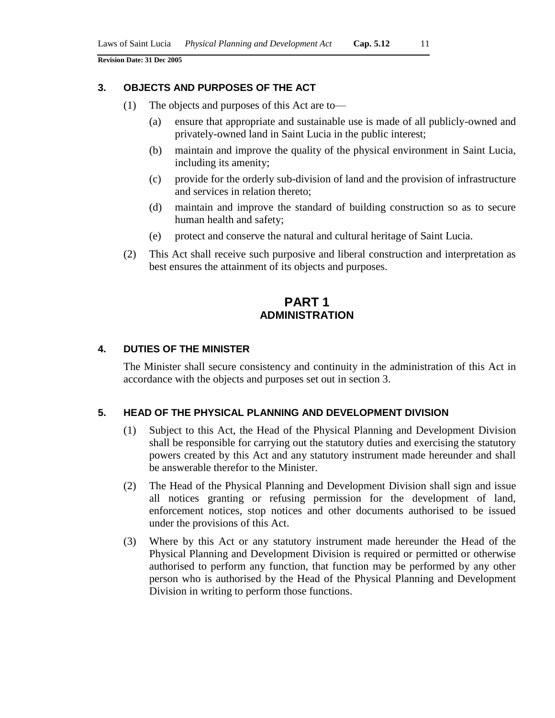#### **3. OBJECTS AND PURPOSES OF THE ACT**

- (1) The objects and purposes of this Act are to—
	- (a) ensure that appropriate and sustainable use is made of all publicly-owned and privately-owned land in Saint Lucia in the public interest;
	- (b) maintain and improve the quality of the physical environment in Saint Lucia, including its amenity;
	- (c) provide for the orderly sub-division of land and the provision of infrastructure and services in relation thereto;
	- (d) maintain and improve the standard of building construction so as to secure human health and safety;
	- (e) protect and conserve the natural and cultural heritage of Saint Lucia.
- (2) This Act shall receive such purposive and liberal construction and interpretation as best ensures the attainment of its objects and purposes.

# **PART 1 ADMINISTRATION**

#### **4. DUTIES OF THE MINISTER**

The Minister shall secure consistency and continuity in the administration of this Act in accordance with the objects and purposes set out in section 3.

#### **5. HEAD OF THE PHYSICAL PLANNING AND DEVELOPMENT DIVISION**

- (1) Subject to this Act, the Head of the Physical Planning and Development Division shall be responsible for carrying out the statutory duties and exercising the statutory powers created by this Act and any statutory instrument made hereunder and shall be answerable therefor to the Minister.
- (2) The Head of the Physical Planning and Development Division shall sign and issue all notices granting or refusing permission for the development of land, enforcement notices, stop notices and other documents authorised to be issued under the provisions of this Act.
- (3) Where by this Act or any statutory instrument made hereunder the Head of the Physical Planning and Development Division is required or permitted or otherwise authorised to perform any function, that function may be performed by any other person who is authorised by the Head of the Physical Planning and Development Division in writing to perform those functions.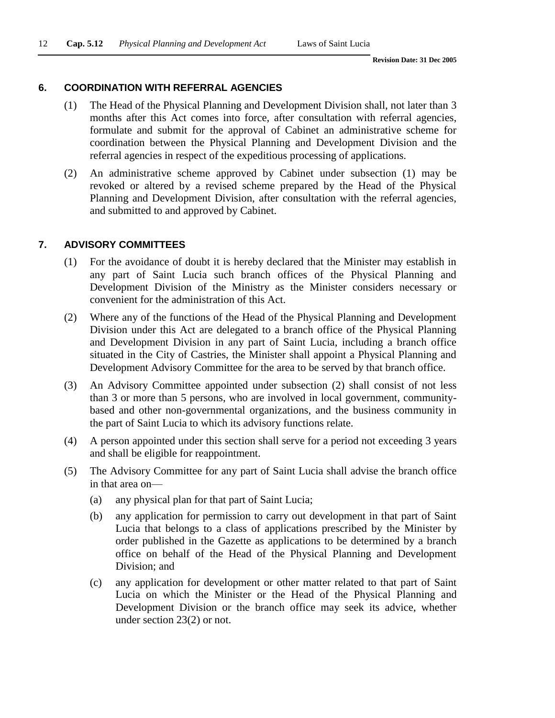#### **6. COORDINATION WITH REFERRAL AGENCIES**

- (1) The Head of the Physical Planning and Development Division shall, not later than 3 months after this Act comes into force, after consultation with referral agencies, formulate and submit for the approval of Cabinet an administrative scheme for coordination between the Physical Planning and Development Division and the referral agencies in respect of the expeditious processing of applications.
- (2) An administrative scheme approved by Cabinet under subsection (1) may be revoked or altered by a revised scheme prepared by the Head of the Physical Planning and Development Division, after consultation with the referral agencies, and submitted to and approved by Cabinet.

#### **7. ADVISORY COMMITTEES**

- (1) For the avoidance of doubt it is hereby declared that the Minister may establish in any part of Saint Lucia such branch offices of the Physical Planning and Development Division of the Ministry as the Minister considers necessary or convenient for the administration of this Act.
- (2) Where any of the functions of the Head of the Physical Planning and Development Division under this Act are delegated to a branch office of the Physical Planning and Development Division in any part of Saint Lucia, including a branch office situated in the City of Castries, the Minister shall appoint a Physical Planning and Development Advisory Committee for the area to be served by that branch office.
- (3) An Advisory Committee appointed under subsection (2) shall consist of not less than 3 or more than 5 persons, who are involved in local government, communitybased and other non-governmental organizations, and the business community in the part of Saint Lucia to which its advisory functions relate.
- (4) A person appointed under this section shall serve for a period not exceeding 3 years and shall be eligible for reappointment.
- (5) The Advisory Committee for any part of Saint Lucia shall advise the branch office in that area on—
	- (a) any physical plan for that part of Saint Lucia;
	- (b) any application for permission to carry out development in that part of Saint Lucia that belongs to a class of applications prescribed by the Minister by order published in the Gazette as applications to be determined by a branch office on behalf of the Head of the Physical Planning and Development Division; and
	- (c) any application for development or other matter related to that part of Saint Lucia on which the Minister or the Head of the Physical Planning and Development Division or the branch office may seek its advice, whether under section 23(2) or not.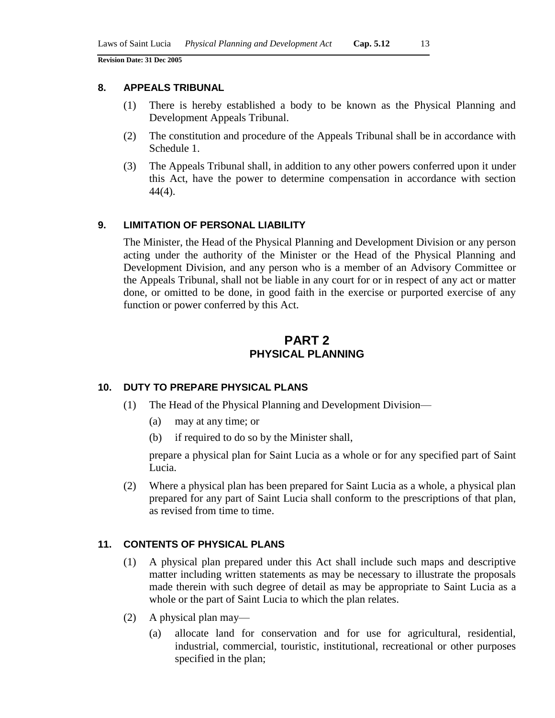#### **8. APPEALS TRIBUNAL**

- (1) There is hereby established a body to be known as the Physical Planning and Development Appeals Tribunal.
- (2) The constitution and procedure of the Appeals Tribunal shall be in accordance with Schedule 1.
- (3) The Appeals Tribunal shall, in addition to any other powers conferred upon it under this Act, have the power to determine compensation in accordance with section 44(4).

### **9. LIMITATION OF PERSONAL LIABILITY**

The Minister, the Head of the Physical Planning and Development Division or any person acting under the authority of the Minister or the Head of the Physical Planning and Development Division, and any person who is a member of an Advisory Committee or the Appeals Tribunal, shall not be liable in any court for or in respect of any act or matter done, or omitted to be done, in good faith in the exercise or purported exercise of any function or power conferred by this Act.

# **PART 2 PHYSICAL PLANNING**

#### **10. DUTY TO PREPARE PHYSICAL PLANS**

- (1) The Head of the Physical Planning and Development Division—
	- (a) may at any time; or
	- (b) if required to do so by the Minister shall,

prepare a physical plan for Saint Lucia as a whole or for any specified part of Saint Lucia.

(2) Where a physical plan has been prepared for Saint Lucia as a whole, a physical plan prepared for any part of Saint Lucia shall conform to the prescriptions of that plan, as revised from time to time.

#### **11. CONTENTS OF PHYSICAL PLANS**

- (1) A physical plan prepared under this Act shall include such maps and descriptive matter including written statements as may be necessary to illustrate the proposals made therein with such degree of detail as may be appropriate to Saint Lucia as a whole or the part of Saint Lucia to which the plan relates.
- (2) A physical plan may—
	- (a) allocate land for conservation and for use for agricultural, residential, industrial, commercial, touristic, institutional, recreational or other purposes specified in the plan;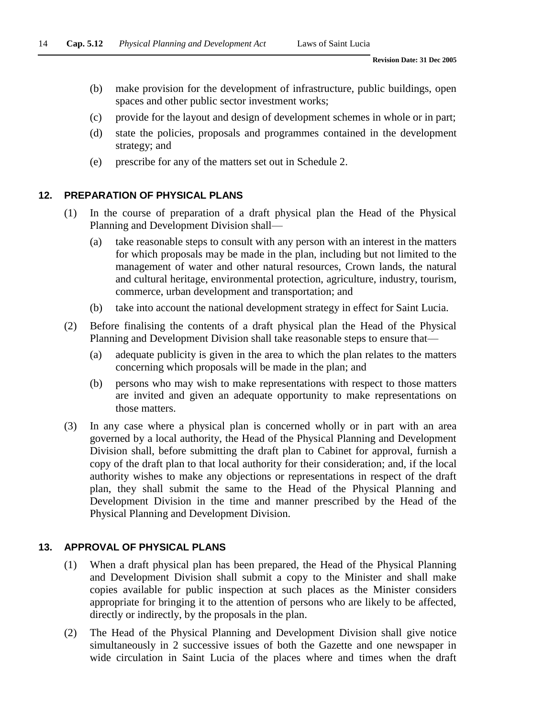- (b) make provision for the development of infrastructure, public buildings, open spaces and other public sector investment works;
- (c) provide for the layout and design of development schemes in whole or in part;
- (d) state the policies, proposals and programmes contained in the development strategy; and
- (e) prescribe for any of the matters set out in Schedule 2.

# **12. PREPARATION OF PHYSICAL PLANS**

- (1) In the course of preparation of a draft physical plan the Head of the Physical Planning and Development Division shall—
	- (a) take reasonable steps to consult with any person with an interest in the matters for which proposals may be made in the plan, including but not limited to the management of water and other natural resources, Crown lands, the natural and cultural heritage, environmental protection, agriculture, industry, tourism, commerce, urban development and transportation; and
	- (b) take into account the national development strategy in effect for Saint Lucia.
- (2) Before finalising the contents of a draft physical plan the Head of the Physical Planning and Development Division shall take reasonable steps to ensure that—
	- (a) adequate publicity is given in the area to which the plan relates to the matters concerning which proposals will be made in the plan; and
	- (b) persons who may wish to make representations with respect to those matters are invited and given an adequate opportunity to make representations on those matters.
- (3) In any case where a physical plan is concerned wholly or in part with an area governed by a local authority, the Head of the Physical Planning and Development Division shall, before submitting the draft plan to Cabinet for approval, furnish a copy of the draft plan to that local authority for their consideration; and, if the local authority wishes to make any objections or representations in respect of the draft plan, they shall submit the same to the Head of the Physical Planning and Development Division in the time and manner prescribed by the Head of the Physical Planning and Development Division.

# **13. APPROVAL OF PHYSICAL PLANS**

- (1) When a draft physical plan has been prepared, the Head of the Physical Planning and Development Division shall submit a copy to the Minister and shall make copies available for public inspection at such places as the Minister considers appropriate for bringing it to the attention of persons who are likely to be affected, directly or indirectly, by the proposals in the plan.
- (2) The Head of the Physical Planning and Development Division shall give notice simultaneously in 2 successive issues of both the Gazette and one newspaper in wide circulation in Saint Lucia of the places where and times when the draft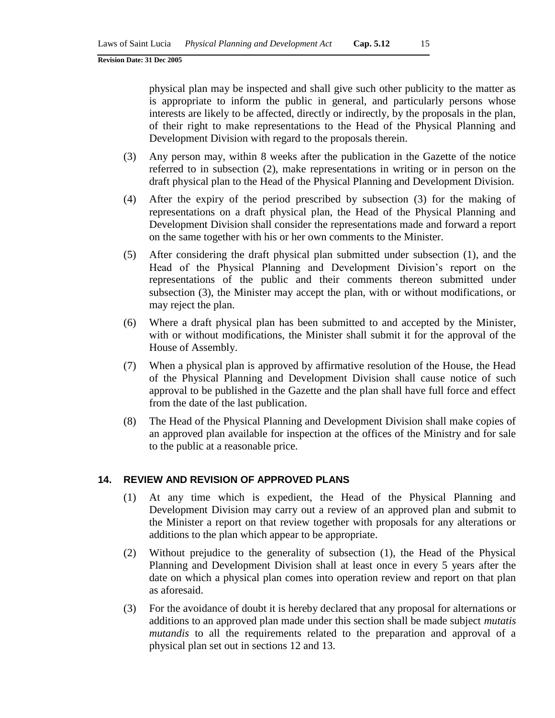physical plan may be inspected and shall give such other publicity to the matter as is appropriate to inform the public in general, and particularly persons whose interests are likely to be affected, directly or indirectly, by the proposals in the plan, of their right to make representations to the Head of the Physical Planning and Development Division with regard to the proposals therein.

- (3) Any person may, within 8 weeks after the publication in the Gazette of the notice referred to in subsection (2), make representations in writing or in person on the draft physical plan to the Head of the Physical Planning and Development Division.
- (4) After the expiry of the period prescribed by subsection (3) for the making of representations on a draft physical plan, the Head of the Physical Planning and Development Division shall consider the representations made and forward a report on the same together with his or her own comments to the Minister.
- (5) After considering the draft physical plan submitted under subsection (1), and the Head of the Physical Planning and Development Division's report on the representations of the public and their comments thereon submitted under subsection (3), the Minister may accept the plan, with or without modifications, or may reject the plan.
- (6) Where a draft physical plan has been submitted to and accepted by the Minister, with or without modifications, the Minister shall submit it for the approval of the House of Assembly.
- (7) When a physical plan is approved by affirmative resolution of the House, the Head of the Physical Planning and Development Division shall cause notice of such approval to be published in the Gazette and the plan shall have full force and effect from the date of the last publication.
- (8) The Head of the Physical Planning and Development Division shall make copies of an approved plan available for inspection at the offices of the Ministry and for sale to the public at a reasonable price.

### **14. REVIEW AND REVISION OF APPROVED PLANS**

- (1) At any time which is expedient, the Head of the Physical Planning and Development Division may carry out a review of an approved plan and submit to the Minister a report on that review together with proposals for any alterations or additions to the plan which appear to be appropriate.
- (2) Without prejudice to the generality of subsection (1), the Head of the Physical Planning and Development Division shall at least once in every 5 years after the date on which a physical plan comes into operation review and report on that plan as aforesaid.
- (3) For the avoidance of doubt it is hereby declared that any proposal for alternations or additions to an approved plan made under this section shall be made subject *mutatis mutandis* to all the requirements related to the preparation and approval of a physical plan set out in sections 12 and 13.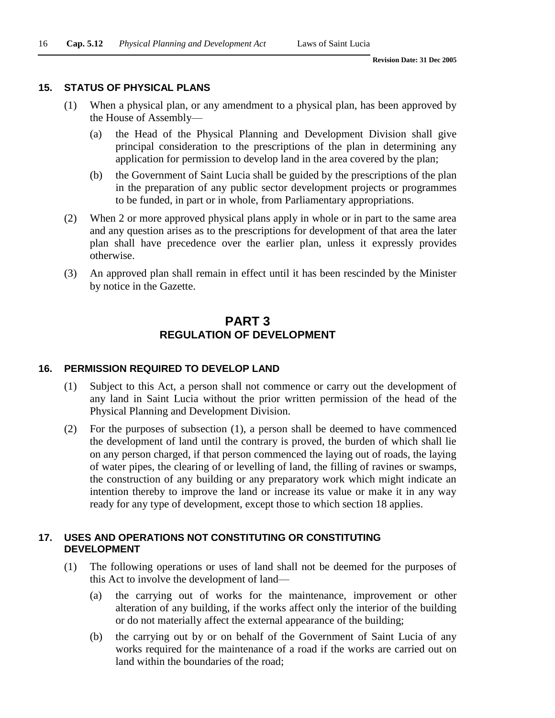#### **15. STATUS OF PHYSICAL PLANS**

- (1) When a physical plan, or any amendment to a physical plan, has been approved by the House of Assembly—
	- (a) the Head of the Physical Planning and Development Division shall give principal consideration to the prescriptions of the plan in determining any application for permission to develop land in the area covered by the plan;
	- (b) the Government of Saint Lucia shall be guided by the prescriptions of the plan in the preparation of any public sector development projects or programmes to be funded, in part or in whole, from Parliamentary appropriations.
- (2) When 2 or more approved physical plans apply in whole or in part to the same area and any question arises as to the prescriptions for development of that area the later plan shall have precedence over the earlier plan, unless it expressly provides otherwise.
- (3) An approved plan shall remain in effect until it has been rescinded by the Minister by notice in the Gazette.

## **PART 3 REGULATION OF DEVELOPMENT**

#### **16. PERMISSION REQUIRED TO DEVELOP LAND**

- (1) Subject to this Act, a person shall not commence or carry out the development of any land in Saint Lucia without the prior written permission of the head of the Physical Planning and Development Division.
- (2) For the purposes of subsection (1), a person shall be deemed to have commenced the development of land until the contrary is proved, the burden of which shall lie on any person charged, if that person commenced the laying out of roads, the laying of water pipes, the clearing of or levelling of land, the filling of ravines or swamps, the construction of any building or any preparatory work which might indicate an intention thereby to improve the land or increase its value or make it in any way ready for any type of development, except those to which section 18 applies.

#### **17. USES AND OPERATIONS NOT CONSTITUTING OR CONSTITUTING DEVELOPMENT**

- (1) The following operations or uses of land shall not be deemed for the purposes of this Act to involve the development of land—
	- (a) the carrying out of works for the maintenance, improvement or other alteration of any building, if the works affect only the interior of the building or do not materially affect the external appearance of the building;
	- (b) the carrying out by or on behalf of the Government of Saint Lucia of any works required for the maintenance of a road if the works are carried out on land within the boundaries of the road;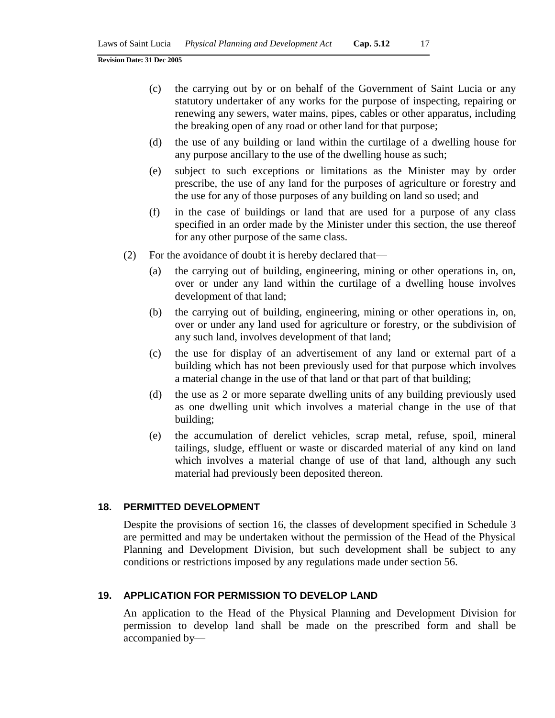- (c) the carrying out by or on behalf of the Government of Saint Lucia or any statutory undertaker of any works for the purpose of inspecting, repairing or renewing any sewers, water mains, pipes, cables or other apparatus, including the breaking open of any road or other land for that purpose;
- (d) the use of any building or land within the curtilage of a dwelling house for any purpose ancillary to the use of the dwelling house as such;
- (e) subject to such exceptions or limitations as the Minister may by order prescribe, the use of any land for the purposes of agriculture or forestry and the use for any of those purposes of any building on land so used; and
- (f) in the case of buildings or land that are used for a purpose of any class specified in an order made by the Minister under this section, the use thereof for any other purpose of the same class.
- (2) For the avoidance of doubt it is hereby declared that—
	- (a) the carrying out of building, engineering, mining or other operations in, on, over or under any land within the curtilage of a dwelling house involves development of that land;
	- (b) the carrying out of building, engineering, mining or other operations in, on, over or under any land used for agriculture or forestry, or the subdivision of any such land, involves development of that land;
	- (c) the use for display of an advertisement of any land or external part of a building which has not been previously used for that purpose which involves a material change in the use of that land or that part of that building;
	- (d) the use as 2 or more separate dwelling units of any building previously used as one dwelling unit which involves a material change in the use of that building;
	- (e) the accumulation of derelict vehicles, scrap metal, refuse, spoil, mineral tailings, sludge, effluent or waste or discarded material of any kind on land which involves a material change of use of that land, although any such material had previously been deposited thereon.

#### **18. PERMITTED DEVELOPMENT**

Despite the provisions of section 16, the classes of development specified in Schedule 3 are permitted and may be undertaken without the permission of the Head of the Physical Planning and Development Division, but such development shall be subject to any conditions or restrictions imposed by any regulations made under section 56.

#### **19. APPLICATION FOR PERMISSION TO DEVELOP LAND**

An application to the Head of the Physical Planning and Development Division for permission to develop land shall be made on the prescribed form and shall be accompanied by—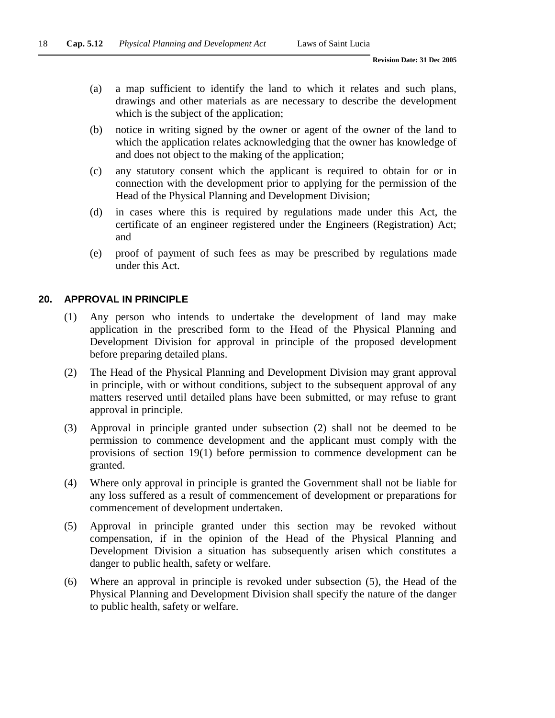- (a) a map sufficient to identify the land to which it relates and such plans, drawings and other materials as are necessary to describe the development which is the subject of the application;
- (b) notice in writing signed by the owner or agent of the owner of the land to which the application relates acknowledging that the owner has knowledge of and does not object to the making of the application;
- (c) any statutory consent which the applicant is required to obtain for or in connection with the development prior to applying for the permission of the Head of the Physical Planning and Development Division;
- (d) in cases where this is required by regulations made under this Act, the certificate of an engineer registered under the Engineers (Registration) Act; and
- (e) proof of payment of such fees as may be prescribed by regulations made under this Act.

### **20. APPROVAL IN PRINCIPLE**

- (1) Any person who intends to undertake the development of land may make application in the prescribed form to the Head of the Physical Planning and Development Division for approval in principle of the proposed development before preparing detailed plans.
- (2) The Head of the Physical Planning and Development Division may grant approval in principle, with or without conditions, subject to the subsequent approval of any matters reserved until detailed plans have been submitted, or may refuse to grant approval in principle.
- (3) Approval in principle granted under subsection (2) shall not be deemed to be permission to commence development and the applicant must comply with the provisions of section 19(1) before permission to commence development can be granted.
- (4) Where only approval in principle is granted the Government shall not be liable for any loss suffered as a result of commencement of development or preparations for commencement of development undertaken.
- (5) Approval in principle granted under this section may be revoked without compensation, if in the opinion of the Head of the Physical Planning and Development Division a situation has subsequently arisen which constitutes a danger to public health, safety or welfare.
- (6) Where an approval in principle is revoked under subsection (5), the Head of the Physical Planning and Development Division shall specify the nature of the danger to public health, safety or welfare.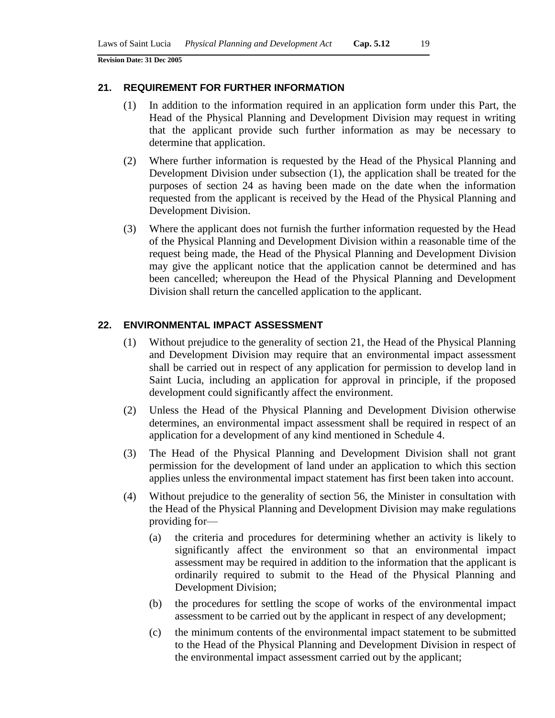#### **21. REQUIREMENT FOR FURTHER INFORMATION**

- (1) In addition to the information required in an application form under this Part, the Head of the Physical Planning and Development Division may request in writing that the applicant provide such further information as may be necessary to determine that application.
- (2) Where further information is requested by the Head of the Physical Planning and Development Division under subsection (1), the application shall be treated for the purposes of section 24 as having been made on the date when the information requested from the applicant is received by the Head of the Physical Planning and Development Division.
- (3) Where the applicant does not furnish the further information requested by the Head of the Physical Planning and Development Division within a reasonable time of the request being made, the Head of the Physical Planning and Development Division may give the applicant notice that the application cannot be determined and has been cancelled; whereupon the Head of the Physical Planning and Development Division shall return the cancelled application to the applicant.

### **22. ENVIRONMENTAL IMPACT ASSESSMENT**

- (1) Without prejudice to the generality of section 21, the Head of the Physical Planning and Development Division may require that an environmental impact assessment shall be carried out in respect of any application for permission to develop land in Saint Lucia, including an application for approval in principle, if the proposed development could significantly affect the environment.
- (2) Unless the Head of the Physical Planning and Development Division otherwise determines, an environmental impact assessment shall be required in respect of an application for a development of any kind mentioned in Schedule 4.
- (3) The Head of the Physical Planning and Development Division shall not grant permission for the development of land under an application to which this section applies unless the environmental impact statement has first been taken into account.
- (4) Without prejudice to the generality of section 56, the Minister in consultation with the Head of the Physical Planning and Development Division may make regulations providing for—
	- (a) the criteria and procedures for determining whether an activity is likely to significantly affect the environment so that an environmental impact assessment may be required in addition to the information that the applicant is ordinarily required to submit to the Head of the Physical Planning and Development Division;
	- (b) the procedures for settling the scope of works of the environmental impact assessment to be carried out by the applicant in respect of any development;
	- (c) the minimum contents of the environmental impact statement to be submitted to the Head of the Physical Planning and Development Division in respect of the environmental impact assessment carried out by the applicant;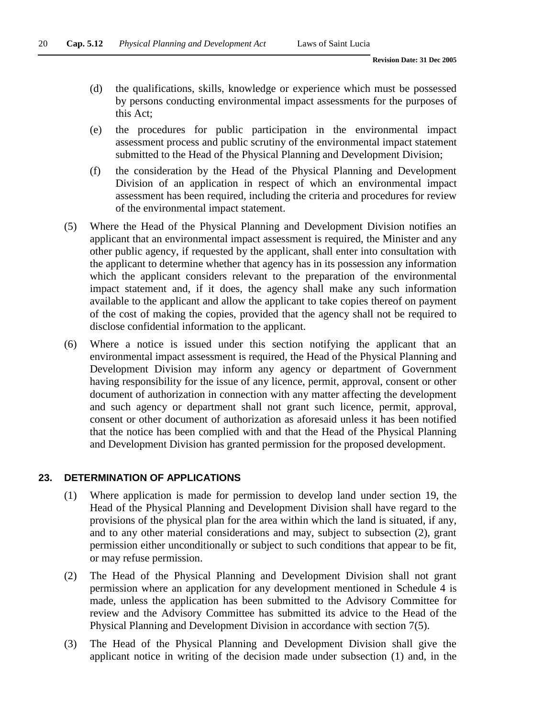- (d) the qualifications, skills, knowledge or experience which must be possessed by persons conducting environmental impact assessments for the purposes of this Act;
- (e) the procedures for public participation in the environmental impact assessment process and public scrutiny of the environmental impact statement submitted to the Head of the Physical Planning and Development Division;
- (f) the consideration by the Head of the Physical Planning and Development Division of an application in respect of which an environmental impact assessment has been required, including the criteria and procedures for review of the environmental impact statement.
- (5) Where the Head of the Physical Planning and Development Division notifies an applicant that an environmental impact assessment is required, the Minister and any other public agency, if requested by the applicant, shall enter into consultation with the applicant to determine whether that agency has in its possession any information which the applicant considers relevant to the preparation of the environmental impact statement and, if it does, the agency shall make any such information available to the applicant and allow the applicant to take copies thereof on payment of the cost of making the copies, provided that the agency shall not be required to disclose confidential information to the applicant.
- (6) Where a notice is issued under this section notifying the applicant that an environmental impact assessment is required, the Head of the Physical Planning and Development Division may inform any agency or department of Government having responsibility for the issue of any licence, permit, approval, consent or other document of authorization in connection with any matter affecting the development and such agency or department shall not grant such licence, permit, approval, consent or other document of authorization as aforesaid unless it has been notified that the notice has been complied with and that the Head of the Physical Planning and Development Division has granted permission for the proposed development.

### **23. DETERMINATION OF APPLICATIONS**

- (1) Where application is made for permission to develop land under section 19, the Head of the Physical Planning and Development Division shall have regard to the provisions of the physical plan for the area within which the land is situated, if any, and to any other material considerations and may, subject to subsection (2), grant permission either unconditionally or subject to such conditions that appear to be fit, or may refuse permission.
- (2) The Head of the Physical Planning and Development Division shall not grant permission where an application for any development mentioned in Schedule 4 is made, unless the application has been submitted to the Advisory Committee for review and the Advisory Committee has submitted its advice to the Head of the Physical Planning and Development Division in accordance with section 7(5).
- (3) The Head of the Physical Planning and Development Division shall give the applicant notice in writing of the decision made under subsection (1) and, in the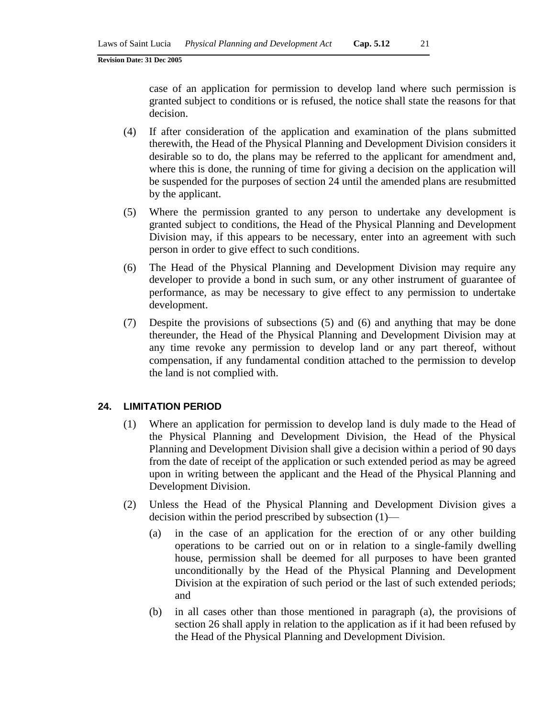case of an application for permission to develop land where such permission is granted subject to conditions or is refused, the notice shall state the reasons for that decision.

- (4) If after consideration of the application and examination of the plans submitted therewith, the Head of the Physical Planning and Development Division considers it desirable so to do, the plans may be referred to the applicant for amendment and, where this is done, the running of time for giving a decision on the application will be suspended for the purposes of section 24 until the amended plans are resubmitted by the applicant.
- (5) Where the permission granted to any person to undertake any development is granted subject to conditions, the Head of the Physical Planning and Development Division may, if this appears to be necessary, enter into an agreement with such person in order to give effect to such conditions.
- (6) The Head of the Physical Planning and Development Division may require any developer to provide a bond in such sum, or any other instrument of guarantee of performance, as may be necessary to give effect to any permission to undertake development.
- (7) Despite the provisions of subsections (5) and (6) and anything that may be done thereunder, the Head of the Physical Planning and Development Division may at any time revoke any permission to develop land or any part thereof, without compensation, if any fundamental condition attached to the permission to develop the land is not complied with.

#### **24. LIMITATION PERIOD**

- (1) Where an application for permission to develop land is duly made to the Head of the Physical Planning and Development Division, the Head of the Physical Planning and Development Division shall give a decision within a period of 90 days from the date of receipt of the application or such extended period as may be agreed upon in writing between the applicant and the Head of the Physical Planning and Development Division.
- (2) Unless the Head of the Physical Planning and Development Division gives a decision within the period prescribed by subsection (1)—
	- (a) in the case of an application for the erection of or any other building operations to be carried out on or in relation to a single-family dwelling house, permission shall be deemed for all purposes to have been granted unconditionally by the Head of the Physical Planning and Development Division at the expiration of such period or the last of such extended periods; and
	- (b) in all cases other than those mentioned in paragraph (a), the provisions of section 26 shall apply in relation to the application as if it had been refused by the Head of the Physical Planning and Development Division.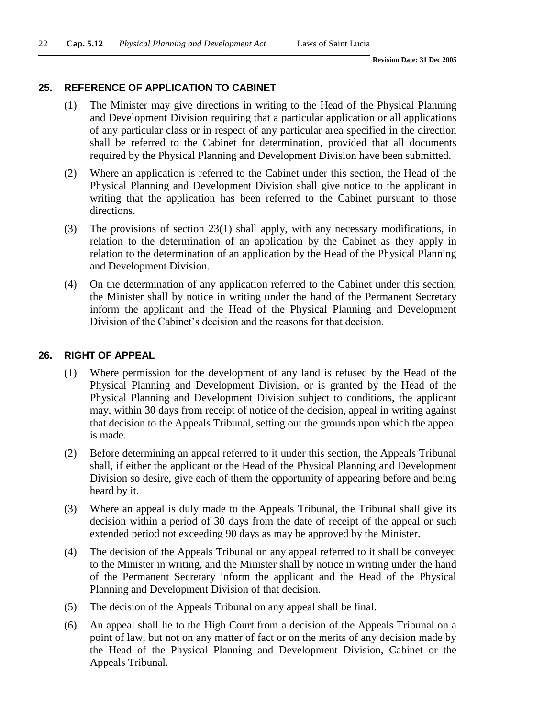#### **25. REFERENCE OF APPLICATION TO CABINET**

- (1) The Minister may give directions in writing to the Head of the Physical Planning and Development Division requiring that a particular application or all applications of any particular class or in respect of any particular area specified in the direction shall be referred to the Cabinet for determination, provided that all documents required by the Physical Planning and Development Division have been submitted.
- (2) Where an application is referred to the Cabinet under this section, the Head of the Physical Planning and Development Division shall give notice to the applicant in writing that the application has been referred to the Cabinet pursuant to those directions.
- (3) The provisions of section 23(1) shall apply, with any necessary modifications, in relation to the determination of an application by the Cabinet as they apply in relation to the determination of an application by the Head of the Physical Planning and Development Division.
- (4) On the determination of any application referred to the Cabinet under this section, the Minister shall by notice in writing under the hand of the Permanent Secretary inform the applicant and the Head of the Physical Planning and Development Division of the Cabinet's decision and the reasons for that decision.

#### **26. RIGHT OF APPEAL**

- (1) Where permission for the development of any land is refused by the Head of the Physical Planning and Development Division, or is granted by the Head of the Physical Planning and Development Division subject to conditions, the applicant may, within 30 days from receipt of notice of the decision, appeal in writing against that decision to the Appeals Tribunal, setting out the grounds upon which the appeal is made.
- (2) Before determining an appeal referred to it under this section, the Appeals Tribunal shall, if either the applicant or the Head of the Physical Planning and Development Division so desire, give each of them the opportunity of appearing before and being heard by it.
- (3) Where an appeal is duly made to the Appeals Tribunal, the Tribunal shall give its decision within a period of 30 days from the date of receipt of the appeal or such extended period not exceeding 90 days as may be approved by the Minister.
- (4) The decision of the Appeals Tribunal on any appeal referred to it shall be conveyed to the Minister in writing, and the Minister shall by notice in writing under the hand of the Permanent Secretary inform the applicant and the Head of the Physical Planning and Development Division of that decision.
- (5) The decision of the Appeals Tribunal on any appeal shall be final.
- (6) An appeal shall lie to the High Court from a decision of the Appeals Tribunal on a point of law, but not on any matter of fact or on the merits of any decision made by the Head of the Physical Planning and Development Division, Cabinet or the Appeals Tribunal.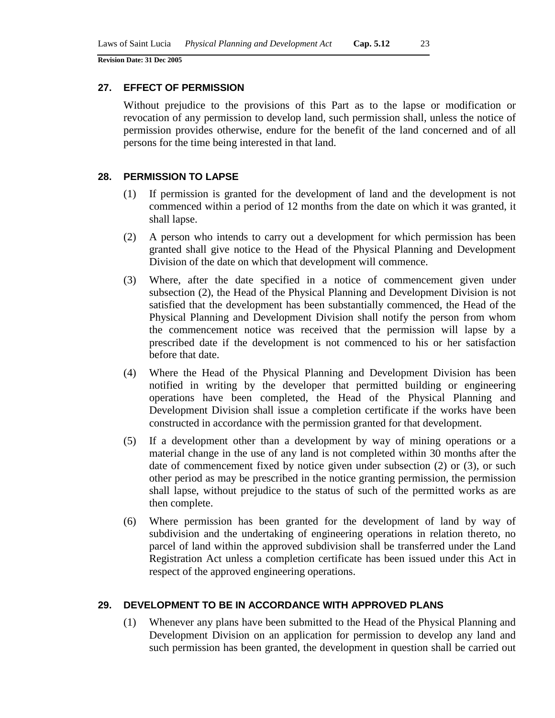#### **27. EFFECT OF PERMISSION**

Without prejudice to the provisions of this Part as to the lapse or modification or revocation of any permission to develop land, such permission shall, unless the notice of permission provides otherwise, endure for the benefit of the land concerned and of all persons for the time being interested in that land.

#### **28. PERMISSION TO LAPSE**

- (1) If permission is granted for the development of land and the development is not commenced within a period of 12 months from the date on which it was granted, it shall lapse.
- (2) A person who intends to carry out a development for which permission has been granted shall give notice to the Head of the Physical Planning and Development Division of the date on which that development will commence.
- (3) Where, after the date specified in a notice of commencement given under subsection (2), the Head of the Physical Planning and Development Division is not satisfied that the development has been substantially commenced, the Head of the Physical Planning and Development Division shall notify the person from whom the commencement notice was received that the permission will lapse by a prescribed date if the development is not commenced to his or her satisfaction before that date.
- (4) Where the Head of the Physical Planning and Development Division has been notified in writing by the developer that permitted building or engineering operations have been completed, the Head of the Physical Planning and Development Division shall issue a completion certificate if the works have been constructed in accordance with the permission granted for that development.
- (5) If a development other than a development by way of mining operations or a material change in the use of any land is not completed within 30 months after the date of commencement fixed by notice given under subsection (2) or (3), or such other period as may be prescribed in the notice granting permission, the permission shall lapse, without prejudice to the status of such of the permitted works as are then complete.
- (6) Where permission has been granted for the development of land by way of subdivision and the undertaking of engineering operations in relation thereto, no parcel of land within the approved subdivision shall be transferred under the Land Registration Act unless a completion certificate has been issued under this Act in respect of the approved engineering operations.

### **29. DEVELOPMENT TO BE IN ACCORDANCE WITH APPROVED PLANS**

(1) Whenever any plans have been submitted to the Head of the Physical Planning and Development Division on an application for permission to develop any land and such permission has been granted, the development in question shall be carried out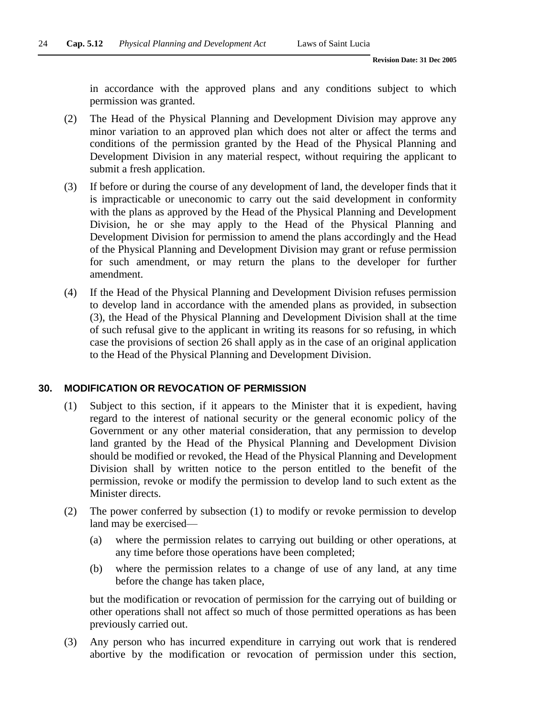in accordance with the approved plans and any conditions subject to which permission was granted.

- (2) The Head of the Physical Planning and Development Division may approve any minor variation to an approved plan which does not alter or affect the terms and conditions of the permission granted by the Head of the Physical Planning and Development Division in any material respect, without requiring the applicant to submit a fresh application.
- (3) If before or during the course of any development of land, the developer finds that it is impracticable or uneconomic to carry out the said development in conformity with the plans as approved by the Head of the Physical Planning and Development Division, he or she may apply to the Head of the Physical Planning and Development Division for permission to amend the plans accordingly and the Head of the Physical Planning and Development Division may grant or refuse permission for such amendment, or may return the plans to the developer for further amendment.
- (4) If the Head of the Physical Planning and Development Division refuses permission to develop land in accordance with the amended plans as provided, in subsection (3), the Head of the Physical Planning and Development Division shall at the time of such refusal give to the applicant in writing its reasons for so refusing, in which case the provisions of section 26 shall apply as in the case of an original application to the Head of the Physical Planning and Development Division.

#### **30. MODIFICATION OR REVOCATION OF PERMISSION**

- (1) Subject to this section, if it appears to the Minister that it is expedient, having regard to the interest of national security or the general economic policy of the Government or any other material consideration, that any permission to develop land granted by the Head of the Physical Planning and Development Division should be modified or revoked, the Head of the Physical Planning and Development Division shall by written notice to the person entitled to the benefit of the permission, revoke or modify the permission to develop land to such extent as the Minister directs.
- (2) The power conferred by subsection (1) to modify or revoke permission to develop land may be exercised—
	- (a) where the permission relates to carrying out building or other operations, at any time before those operations have been completed;
	- (b) where the permission relates to a change of use of any land, at any time before the change has taken place,

but the modification or revocation of permission for the carrying out of building or other operations shall not affect so much of those permitted operations as has been previously carried out.

(3) Any person who has incurred expenditure in carrying out work that is rendered abortive by the modification or revocation of permission under this section,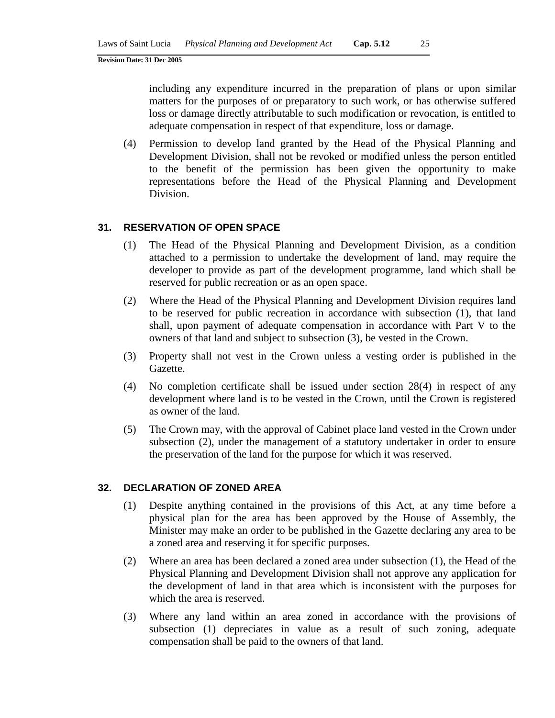including any expenditure incurred in the preparation of plans or upon similar matters for the purposes of or preparatory to such work, or has otherwise suffered loss or damage directly attributable to such modification or revocation, is entitled to adequate compensation in respect of that expenditure, loss or damage.

(4) Permission to develop land granted by the Head of the Physical Planning and Development Division, shall not be revoked or modified unless the person entitled to the benefit of the permission has been given the opportunity to make representations before the Head of the Physical Planning and Development Division.

#### **31. RESERVATION OF OPEN SPACE**

- (1) The Head of the Physical Planning and Development Division, as a condition attached to a permission to undertake the development of land, may require the developer to provide as part of the development programme, land which shall be reserved for public recreation or as an open space.
- (2) Where the Head of the Physical Planning and Development Division requires land to be reserved for public recreation in accordance with subsection (1), that land shall, upon payment of adequate compensation in accordance with Part V to the owners of that land and subject to subsection (3), be vested in the Crown.
- (3) Property shall not vest in the Crown unless a vesting order is published in the Gazette.
- (4) No completion certificate shall be issued under section 28(4) in respect of any development where land is to be vested in the Crown, until the Crown is registered as owner of the land.
- (5) The Crown may, with the approval of Cabinet place land vested in the Crown under subsection (2), under the management of a statutory undertaker in order to ensure the preservation of the land for the purpose for which it was reserved.

#### **32. DECLARATION OF ZONED AREA**

- (1) Despite anything contained in the provisions of this Act, at any time before a physical plan for the area has been approved by the House of Assembly, the Minister may make an order to be published in the Gazette declaring any area to be a zoned area and reserving it for specific purposes.
- (2) Where an area has been declared a zoned area under subsection (1), the Head of the Physical Planning and Development Division shall not approve any application for the development of land in that area which is inconsistent with the purposes for which the area is reserved.
- (3) Where any land within an area zoned in accordance with the provisions of subsection (1) depreciates in value as a result of such zoning, adequate compensation shall be paid to the owners of that land.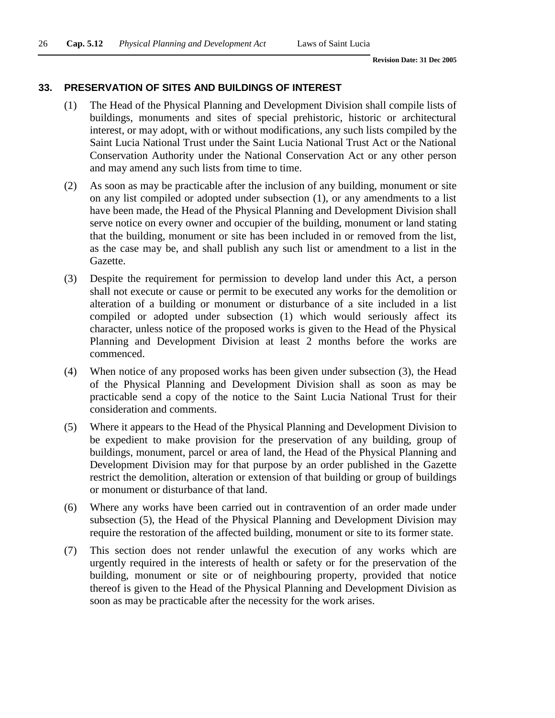#### **33. PRESERVATION OF SITES AND BUILDINGS OF INTEREST**

- (1) The Head of the Physical Planning and Development Division shall compile lists of buildings, monuments and sites of special prehistoric, historic or architectural interest, or may adopt, with or without modifications, any such lists compiled by the Saint Lucia National Trust under the Saint Lucia National Trust Act or the National Conservation Authority under the National Conservation Act or any other person and may amend any such lists from time to time.
- (2) As soon as may be practicable after the inclusion of any building, monument or site on any list compiled or adopted under subsection (1), or any amendments to a list have been made, the Head of the Physical Planning and Development Division shall serve notice on every owner and occupier of the building, monument or land stating that the building, monument or site has been included in or removed from the list, as the case may be, and shall publish any such list or amendment to a list in the Gazette.
- (3) Despite the requirement for permission to develop land under this Act, a person shall not execute or cause or permit to be executed any works for the demolition or alteration of a building or monument or disturbance of a site included in a list compiled or adopted under subsection (1) which would seriously affect its character, unless notice of the proposed works is given to the Head of the Physical Planning and Development Division at least 2 months before the works are commenced.
- (4) When notice of any proposed works has been given under subsection (3), the Head of the Physical Planning and Development Division shall as soon as may be practicable send a copy of the notice to the Saint Lucia National Trust for their consideration and comments.
- (5) Where it appears to the Head of the Physical Planning and Development Division to be expedient to make provision for the preservation of any building, group of buildings, monument, parcel or area of land, the Head of the Physical Planning and Development Division may for that purpose by an order published in the Gazette restrict the demolition, alteration or extension of that building or group of buildings or monument or disturbance of that land.
- (6) Where any works have been carried out in contravention of an order made under subsection (5), the Head of the Physical Planning and Development Division may require the restoration of the affected building, monument or site to its former state.
- (7) This section does not render unlawful the execution of any works which are urgently required in the interests of health or safety or for the preservation of the building, monument or site or of neighbouring property, provided that notice thereof is given to the Head of the Physical Planning and Development Division as soon as may be practicable after the necessity for the work arises.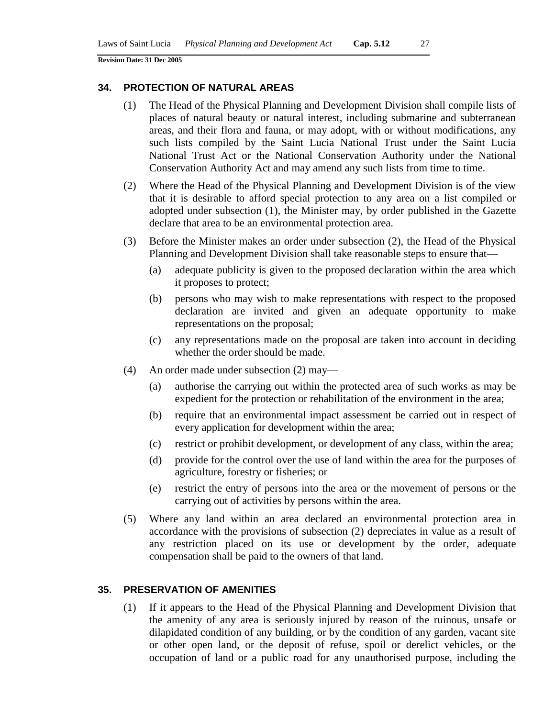#### **34. PROTECTION OF NATURAL AREAS**

- (1) The Head of the Physical Planning and Development Division shall compile lists of places of natural beauty or natural interest, including submarine and subterranean areas, and their flora and fauna, or may adopt, with or without modifications, any such lists compiled by the Saint Lucia National Trust under the Saint Lucia National Trust Act or the National Conservation Authority under the National Conservation Authority Act and may amend any such lists from time to time.
- (2) Where the Head of the Physical Planning and Development Division is of the view that it is desirable to afford special protection to any area on a list compiled or adopted under subsection (1), the Minister may, by order published in the Gazette declare that area to be an environmental protection area.
- (3) Before the Minister makes an order under subsection (2), the Head of the Physical Planning and Development Division shall take reasonable steps to ensure that—
	- (a) adequate publicity is given to the proposed declaration within the area which it proposes to protect;
	- (b) persons who may wish to make representations with respect to the proposed declaration are invited and given an adequate opportunity to make representations on the proposal;
	- (c) any representations made on the proposal are taken into account in deciding whether the order should be made.
- (4) An order made under subsection (2) may—
	- (a) authorise the carrying out within the protected area of such works as may be expedient for the protection or rehabilitation of the environment in the area;
	- (b) require that an environmental impact assessment be carried out in respect of every application for development within the area;
	- (c) restrict or prohibit development, or development of any class, within the area;
	- (d) provide for the control over the use of land within the area for the purposes of agriculture, forestry or fisheries; or
	- (e) restrict the entry of persons into the area or the movement of persons or the carrying out of activities by persons within the area.
- (5) Where any land within an area declared an environmental protection area in accordance with the provisions of subsection (2) depreciates in value as a result of any restriction placed on its use or development by the order, adequate compensation shall be paid to the owners of that land.

### **35. PRESERVATION OF AMENITIES**

(1) If it appears to the Head of the Physical Planning and Development Division that the amenity of any area is seriously injured by reason of the ruinous, unsafe or dilapidated condition of any building, or by the condition of any garden, vacant site or other open land, or the deposit of refuse, spoil or derelict vehicles, or the occupation of land or a public road for any unauthorised purpose, including the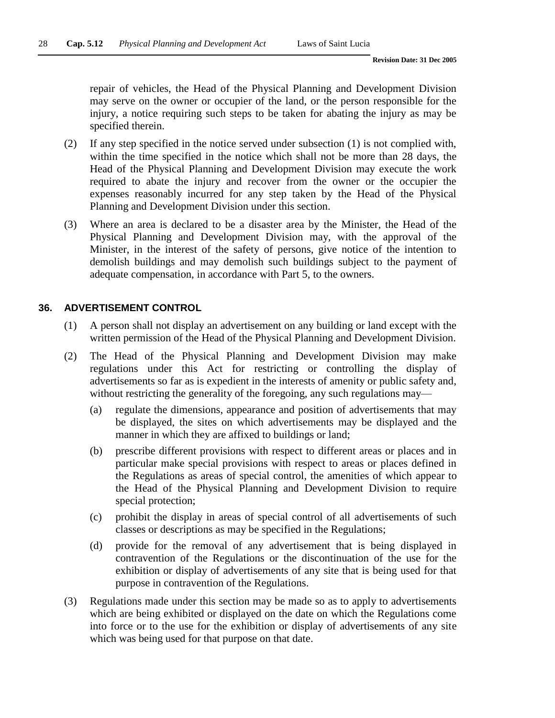repair of vehicles, the Head of the Physical Planning and Development Division may serve on the owner or occupier of the land, or the person responsible for the injury, a notice requiring such steps to be taken for abating the injury as may be specified therein.

- (2) If any step specified in the notice served under subsection (1) is not complied with, within the time specified in the notice which shall not be more than 28 days, the Head of the Physical Planning and Development Division may execute the work required to abate the injury and recover from the owner or the occupier the expenses reasonably incurred for any step taken by the Head of the Physical Planning and Development Division under this section.
- (3) Where an area is declared to be a disaster area by the Minister, the Head of the Physical Planning and Development Division may, with the approval of the Minister, in the interest of the safety of persons, give notice of the intention to demolish buildings and may demolish such buildings subject to the payment of adequate compensation, in accordance with Part 5, to the owners.

### **36. ADVERTISEMENT CONTROL**

- (1) A person shall not display an advertisement on any building or land except with the written permission of the Head of the Physical Planning and Development Division.
- (2) The Head of the Physical Planning and Development Division may make regulations under this Act for restricting or controlling the display of advertisements so far as is expedient in the interests of amenity or public safety and, without restricting the generality of the foregoing, any such regulations may—
	- (a) regulate the dimensions, appearance and position of advertisements that may be displayed, the sites on which advertisements may be displayed and the manner in which they are affixed to buildings or land;
	- (b) prescribe different provisions with respect to different areas or places and in particular make special provisions with respect to areas or places defined in the Regulations as areas of special control, the amenities of which appear to the Head of the Physical Planning and Development Division to require special protection;
	- (c) prohibit the display in areas of special control of all advertisements of such classes or descriptions as may be specified in the Regulations;
	- (d) provide for the removal of any advertisement that is being displayed in contravention of the Regulations or the discontinuation of the use for the exhibition or display of advertisements of any site that is being used for that purpose in contravention of the Regulations.
- (3) Regulations made under this section may be made so as to apply to advertisements which are being exhibited or displayed on the date on which the Regulations come into force or to the use for the exhibition or display of advertisements of any site which was being used for that purpose on that date.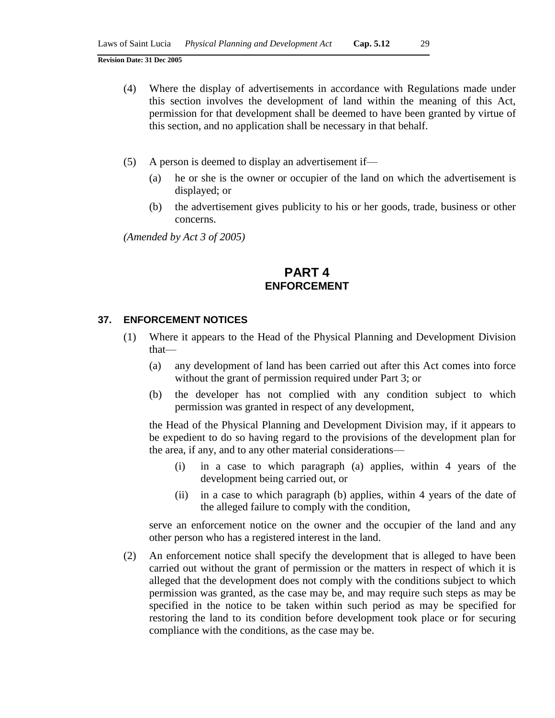- (4) Where the display of advertisements in accordance with Regulations made under this section involves the development of land within the meaning of this Act, permission for that development shall be deemed to have been granted by virtue of this section, and no application shall be necessary in that behalf.
- (5) A person is deemed to display an advertisement if—
	- (a) he or she is the owner or occupier of the land on which the advertisement is displayed; or
	- (b) the advertisement gives publicity to his or her goods, trade, business or other concerns.

*(Amended by Act 3 of 2005)*

# **PART 4 ENFORCEMENT**

#### **37. ENFORCEMENT NOTICES**

- (1) Where it appears to the Head of the Physical Planning and Development Division that—
	- (a) any development of land has been carried out after this Act comes into force without the grant of permission required under Part 3; or
	- (b) the developer has not complied with any condition subject to which permission was granted in respect of any development,

the Head of the Physical Planning and Development Division may, if it appears to be expedient to do so having regard to the provisions of the development plan for the area, if any, and to any other material considerations—

- (i) in a case to which paragraph (a) applies, within 4 years of the development being carried out, or
- (ii) in a case to which paragraph (b) applies, within 4 years of the date of the alleged failure to comply with the condition,

serve an enforcement notice on the owner and the occupier of the land and any other person who has a registered interest in the land.

(2) An enforcement notice shall specify the development that is alleged to have been carried out without the grant of permission or the matters in respect of which it is alleged that the development does not comply with the conditions subject to which permission was granted, as the case may be, and may require such steps as may be specified in the notice to be taken within such period as may be specified for restoring the land to its condition before development took place or for securing compliance with the conditions, as the case may be.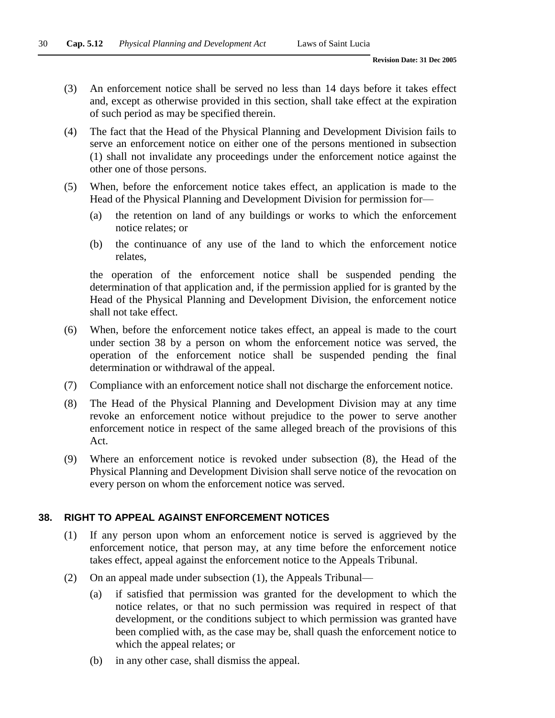- (3) An enforcement notice shall be served no less than 14 days before it takes effect and, except as otherwise provided in this section, shall take effect at the expiration of such period as may be specified therein.
- (4) The fact that the Head of the Physical Planning and Development Division fails to serve an enforcement notice on either one of the persons mentioned in subsection (1) shall not invalidate any proceedings under the enforcement notice against the other one of those persons.
- (5) When, before the enforcement notice takes effect, an application is made to the Head of the Physical Planning and Development Division for permission for-
	- (a) the retention on land of any buildings or works to which the enforcement notice relates; or
	- (b) the continuance of any use of the land to which the enforcement notice relates,

the operation of the enforcement notice shall be suspended pending the determination of that application and, if the permission applied for is granted by the Head of the Physical Planning and Development Division, the enforcement notice shall not take effect.

- (6) When, before the enforcement notice takes effect, an appeal is made to the court under section 38 by a person on whom the enforcement notice was served, the operation of the enforcement notice shall be suspended pending the final determination or withdrawal of the appeal.
- (7) Compliance with an enforcement notice shall not discharge the enforcement notice.
- (8) The Head of the Physical Planning and Development Division may at any time revoke an enforcement notice without prejudice to the power to serve another enforcement notice in respect of the same alleged breach of the provisions of this Act.
- (9) Where an enforcement notice is revoked under subsection (8), the Head of the Physical Planning and Development Division shall serve notice of the revocation on every person on whom the enforcement notice was served.

### **38. RIGHT TO APPEAL AGAINST ENFORCEMENT NOTICES**

- (1) If any person upon whom an enforcement notice is served is aggrieved by the enforcement notice, that person may, at any time before the enforcement notice takes effect, appeal against the enforcement notice to the Appeals Tribunal.
- (2) On an appeal made under subsection (1), the Appeals Tribunal—
	- (a) if satisfied that permission was granted for the development to which the notice relates, or that no such permission was required in respect of that development, or the conditions subject to which permission was granted have been complied with, as the case may be, shall quash the enforcement notice to which the appeal relates; or
	- (b) in any other case, shall dismiss the appeal.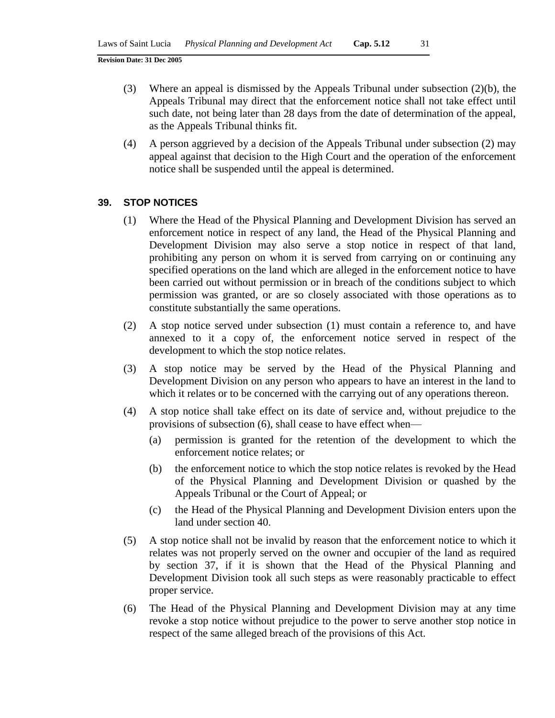- (3) Where an appeal is dismissed by the Appeals Tribunal under subsection (2)(b), the Appeals Tribunal may direct that the enforcement notice shall not take effect until such date, not being later than 28 days from the date of determination of the appeal, as the Appeals Tribunal thinks fit.
- (4) A person aggrieved by a decision of the Appeals Tribunal under subsection (2) may appeal against that decision to the High Court and the operation of the enforcement notice shall be suspended until the appeal is determined.

#### **39. STOP NOTICES**

- (1) Where the Head of the Physical Planning and Development Division has served an enforcement notice in respect of any land, the Head of the Physical Planning and Development Division may also serve a stop notice in respect of that land, prohibiting any person on whom it is served from carrying on or continuing any specified operations on the land which are alleged in the enforcement notice to have been carried out without permission or in breach of the conditions subject to which permission was granted, or are so closely associated with those operations as to constitute substantially the same operations.
- (2) A stop notice served under subsection (1) must contain a reference to, and have annexed to it a copy of, the enforcement notice served in respect of the development to which the stop notice relates.
- (3) A stop notice may be served by the Head of the Physical Planning and Development Division on any person who appears to have an interest in the land to which it relates or to be concerned with the carrying out of any operations thereon.
- (4) A stop notice shall take effect on its date of service and, without prejudice to the provisions of subsection (6), shall cease to have effect when—
	- (a) permission is granted for the retention of the development to which the enforcement notice relates; or
	- (b) the enforcement notice to which the stop notice relates is revoked by the Head of the Physical Planning and Development Division or quashed by the Appeals Tribunal or the Court of Appeal; or
	- (c) the Head of the Physical Planning and Development Division enters upon the land under section 40.
- (5) A stop notice shall not be invalid by reason that the enforcement notice to which it relates was not properly served on the owner and occupier of the land as required by section 37, if it is shown that the Head of the Physical Planning and Development Division took all such steps as were reasonably practicable to effect proper service.
- (6) The Head of the Physical Planning and Development Division may at any time revoke a stop notice without prejudice to the power to serve another stop notice in respect of the same alleged breach of the provisions of this Act.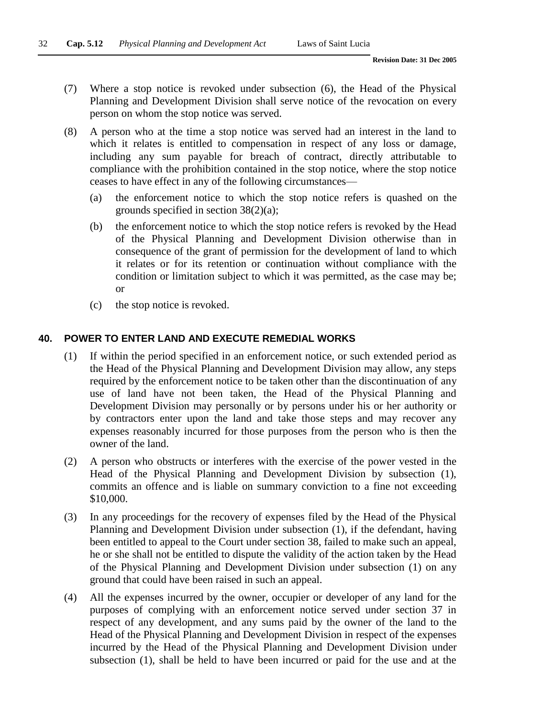- (7) Where a stop notice is revoked under subsection (6), the Head of the Physical Planning and Development Division shall serve notice of the revocation on every person on whom the stop notice was served.
- (8) A person who at the time a stop notice was served had an interest in the land to which it relates is entitled to compensation in respect of any loss or damage, including any sum payable for breach of contract, directly attributable to compliance with the prohibition contained in the stop notice, where the stop notice ceases to have effect in any of the following circumstances—
	- (a) the enforcement notice to which the stop notice refers is quashed on the grounds specified in section 38(2)(a);
	- (b) the enforcement notice to which the stop notice refers is revoked by the Head of the Physical Planning and Development Division otherwise than in consequence of the grant of permission for the development of land to which it relates or for its retention or continuation without compliance with the condition or limitation subject to which it was permitted, as the case may be; or
	- (c) the stop notice is revoked.

### **40. POWER TO ENTER LAND AND EXECUTE REMEDIAL WORKS**

- (1) If within the period specified in an enforcement notice, or such extended period as the Head of the Physical Planning and Development Division may allow, any steps required by the enforcement notice to be taken other than the discontinuation of any use of land have not been taken, the Head of the Physical Planning and Development Division may personally or by persons under his or her authority or by contractors enter upon the land and take those steps and may recover any expenses reasonably incurred for those purposes from the person who is then the owner of the land.
- (2) A person who obstructs or interferes with the exercise of the power vested in the Head of the Physical Planning and Development Division by subsection (1), commits an offence and is liable on summary conviction to a fine not exceeding \$10,000.
- (3) In any proceedings for the recovery of expenses filed by the Head of the Physical Planning and Development Division under subsection (1), if the defendant, having been entitled to appeal to the Court under section 38, failed to make such an appeal, he or she shall not be entitled to dispute the validity of the action taken by the Head of the Physical Planning and Development Division under subsection (1) on any ground that could have been raised in such an appeal.
- (4) All the expenses incurred by the owner, occupier or developer of any land for the purposes of complying with an enforcement notice served under section 37 in respect of any development, and any sums paid by the owner of the land to the Head of the Physical Planning and Development Division in respect of the expenses incurred by the Head of the Physical Planning and Development Division under subsection (1), shall be held to have been incurred or paid for the use and at the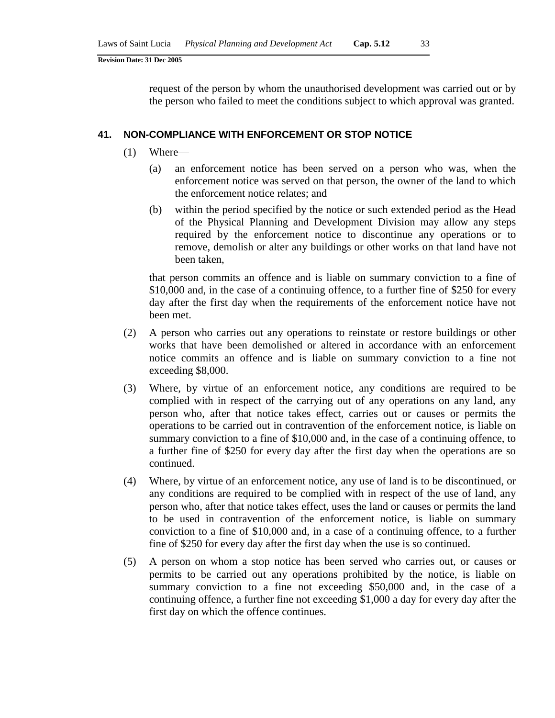request of the person by whom the unauthorised development was carried out or by the person who failed to meet the conditions subject to which approval was granted.

#### **41. NON-COMPLIANCE WITH ENFORCEMENT OR STOP NOTICE**

- (1) Where—
	- (a) an enforcement notice has been served on a person who was, when the enforcement notice was served on that person, the owner of the land to which the enforcement notice relates; and
	- (b) within the period specified by the notice or such extended period as the Head of the Physical Planning and Development Division may allow any steps required by the enforcement notice to discontinue any operations or to remove, demolish or alter any buildings or other works on that land have not been taken,

that person commits an offence and is liable on summary conviction to a fine of \$10,000 and, in the case of a continuing offence, to a further fine of \$250 for every day after the first day when the requirements of the enforcement notice have not been met.

- (2) A person who carries out any operations to reinstate or restore buildings or other works that have been demolished or altered in accordance with an enforcement notice commits an offence and is liable on summary conviction to a fine not exceeding \$8,000.
- (3) Where, by virtue of an enforcement notice, any conditions are required to be complied with in respect of the carrying out of any operations on any land, any person who, after that notice takes effect, carries out or causes or permits the operations to be carried out in contravention of the enforcement notice, is liable on summary conviction to a fine of \$10,000 and, in the case of a continuing offence, to a further fine of \$250 for every day after the first day when the operations are so continued.
- (4) Where, by virtue of an enforcement notice, any use of land is to be discontinued, or any conditions are required to be complied with in respect of the use of land, any person who, after that notice takes effect, uses the land or causes or permits the land to be used in contravention of the enforcement notice, is liable on summary conviction to a fine of \$10,000 and, in a case of a continuing offence, to a further fine of \$250 for every day after the first day when the use is so continued.
- (5) A person on whom a stop notice has been served who carries out, or causes or permits to be carried out any operations prohibited by the notice, is liable on summary conviction to a fine not exceeding \$50,000 and, in the case of a continuing offence, a further fine not exceeding \$1,000 a day for every day after the first day on which the offence continues.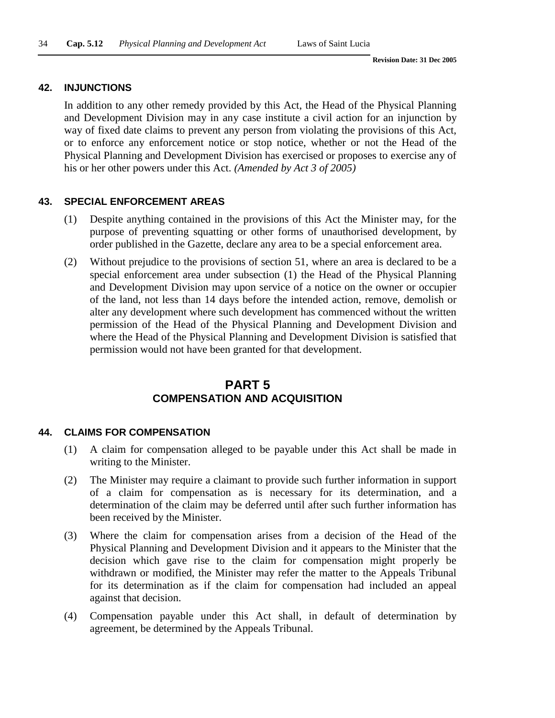#### **42. INJUNCTIONS**

In addition to any other remedy provided by this Act, the Head of the Physical Planning and Development Division may in any case institute a civil action for an injunction by way of fixed date claims to prevent any person from violating the provisions of this Act, or to enforce any enforcement notice or stop notice, whether or not the Head of the Physical Planning and Development Division has exercised or proposes to exercise any of his or her other powers under this Act. *(Amended by Act 3 of 2005)*

### **43. SPECIAL ENFORCEMENT AREAS**

- (1) Despite anything contained in the provisions of this Act the Minister may, for the purpose of preventing squatting or other forms of unauthorised development, by order published in the Gazette, declare any area to be a special enforcement area.
- (2) Without prejudice to the provisions of section 51, where an area is declared to be a special enforcement area under subsection (1) the Head of the Physical Planning and Development Division may upon service of a notice on the owner or occupier of the land, not less than 14 days before the intended action, remove, demolish or alter any development where such development has commenced without the written permission of the Head of the Physical Planning and Development Division and where the Head of the Physical Planning and Development Division is satisfied that permission would not have been granted for that development.

# **PART 5 COMPENSATION AND ACQUISITION**

### **44. CLAIMS FOR COMPENSATION**

- (1) A claim for compensation alleged to be payable under this Act shall be made in writing to the Minister.
- (2) The Minister may require a claimant to provide such further information in support of a claim for compensation as is necessary for its determination, and a determination of the claim may be deferred until after such further information has been received by the Minister.
- (3) Where the claim for compensation arises from a decision of the Head of the Physical Planning and Development Division and it appears to the Minister that the decision which gave rise to the claim for compensation might properly be withdrawn or modified, the Minister may refer the matter to the Appeals Tribunal for its determination as if the claim for compensation had included an appeal against that decision.
- (4) Compensation payable under this Act shall, in default of determination by agreement, be determined by the Appeals Tribunal.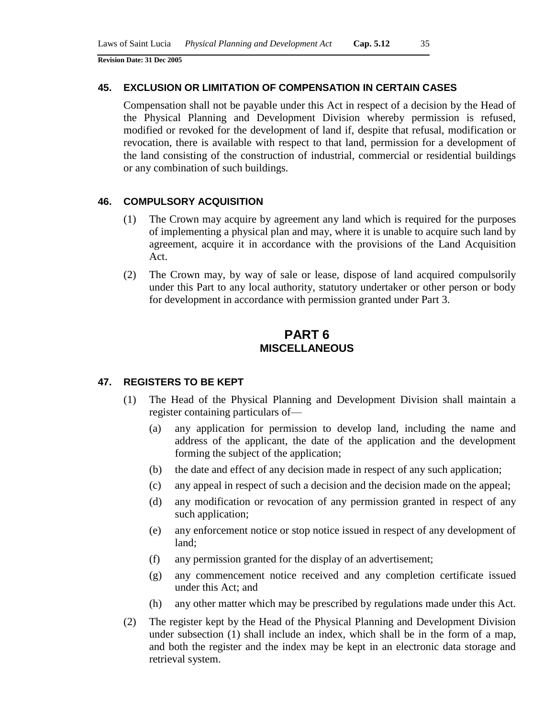### **45. EXCLUSION OR LIMITATION OF COMPENSATION IN CERTAIN CASES**

Compensation shall not be payable under this Act in respect of a decision by the Head of the Physical Planning and Development Division whereby permission is refused, modified or revoked for the development of land if, despite that refusal, modification or revocation, there is available with respect to that land, permission for a development of the land consisting of the construction of industrial, commercial or residential buildings or any combination of such buildings.

### **46. COMPULSORY ACQUISITION**

- (1) The Crown may acquire by agreement any land which is required for the purposes of implementing a physical plan and may, where it is unable to acquire such land by agreement, acquire it in accordance with the provisions of the Land Acquisition Act.
- (2) The Crown may, by way of sale or lease, dispose of land acquired compulsorily under this Part to any local authority, statutory undertaker or other person or body for development in accordance with permission granted under Part 3.

# **PART 6 MISCELLANEOUS**

#### **47. REGISTERS TO BE KEPT**

- (1) The Head of the Physical Planning and Development Division shall maintain a register containing particulars of—
	- (a) any application for permission to develop land, including the name and address of the applicant, the date of the application and the development forming the subject of the application;
	- (b) the date and effect of any decision made in respect of any such application;
	- (c) any appeal in respect of such a decision and the decision made on the appeal;
	- (d) any modification or revocation of any permission granted in respect of any such application;
	- (e) any enforcement notice or stop notice issued in respect of any development of land;
	- (f) any permission granted for the display of an advertisement;
	- (g) any commencement notice received and any completion certificate issued under this Act; and
	- (h) any other matter which may be prescribed by regulations made under this Act.
- (2) The register kept by the Head of the Physical Planning and Development Division under subsection (1) shall include an index, which shall be in the form of a map, and both the register and the index may be kept in an electronic data storage and retrieval system.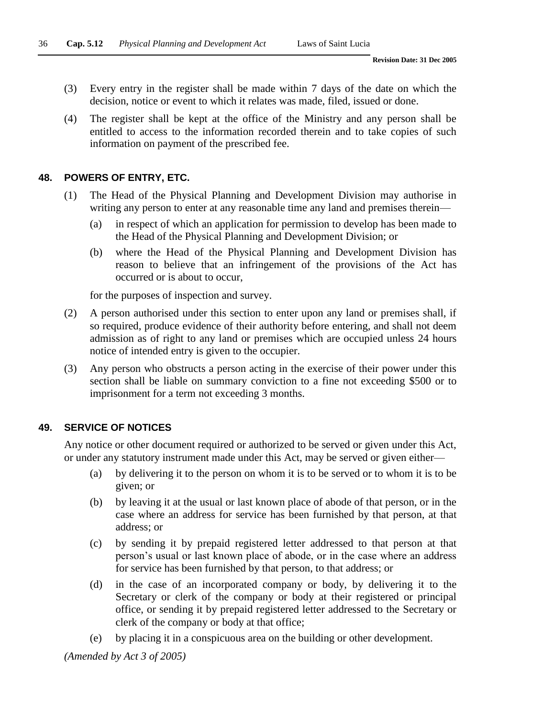- (3) Every entry in the register shall be made within 7 days of the date on which the decision, notice or event to which it relates was made, filed, issued or done.
- (4) The register shall be kept at the office of the Ministry and any person shall be entitled to access to the information recorded therein and to take copies of such information on payment of the prescribed fee.

#### **48. POWERS OF ENTRY, ETC.**

- (1) The Head of the Physical Planning and Development Division may authorise in writing any person to enter at any reasonable time any land and premises therein—
	- (a) in respect of which an application for permission to develop has been made to the Head of the Physical Planning and Development Division; or
	- (b) where the Head of the Physical Planning and Development Division has reason to believe that an infringement of the provisions of the Act has occurred or is about to occur,

for the purposes of inspection and survey.

- (2) A person authorised under this section to enter upon any land or premises shall, if so required, produce evidence of their authority before entering, and shall not deem admission as of right to any land or premises which are occupied unless 24 hours notice of intended entry is given to the occupier.
- (3) Any person who obstructs a person acting in the exercise of their power under this section shall be liable on summary conviction to a fine not exceeding \$500 or to imprisonment for a term not exceeding 3 months.

#### **49. SERVICE OF NOTICES**

Any notice or other document required or authorized to be served or given under this Act, or under any statutory instrument made under this Act, may be served or given either—

- (a) by delivering it to the person on whom it is to be served or to whom it is to be given; or
- (b) by leaving it at the usual or last known place of abode of that person, or in the case where an address for service has been furnished by that person, at that address; or
- (c) by sending it by prepaid registered letter addressed to that person at that person's usual or last known place of abode, or in the case where an address for service has been furnished by that person, to that address; or
- (d) in the case of an incorporated company or body, by delivering it to the Secretary or clerk of the company or body at their registered or principal office, or sending it by prepaid registered letter addressed to the Secretary or clerk of the company or body at that office;
- (e) by placing it in a conspicuous area on the building or other development.

*(Amended by Act 3 of 2005)*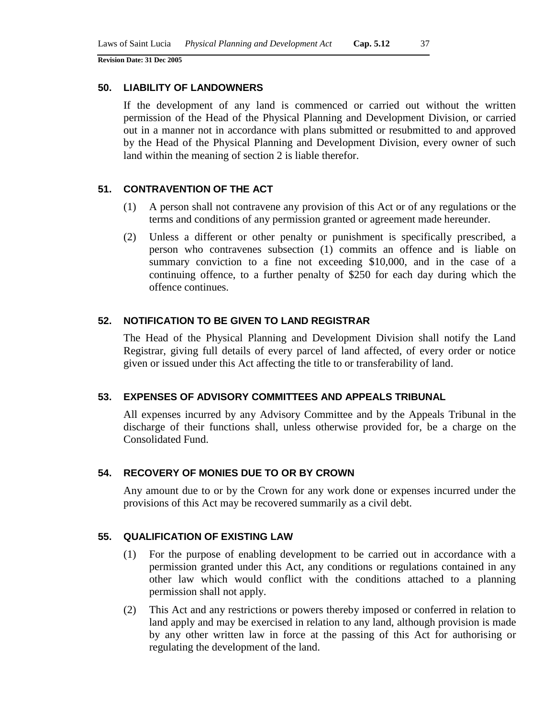### **50. LIABILITY OF LANDOWNERS**

If the development of any land is commenced or carried out without the written permission of the Head of the Physical Planning and Development Division, or carried out in a manner not in accordance with plans submitted or resubmitted to and approved by the Head of the Physical Planning and Development Division, every owner of such land within the meaning of section 2 is liable therefor.

### **51. CONTRAVENTION OF THE ACT**

- (1) A person shall not contravene any provision of this Act or of any regulations or the terms and conditions of any permission granted or agreement made hereunder.
- (2) Unless a different or other penalty or punishment is specifically prescribed, a person who contravenes subsection (1) commits an offence and is liable on summary conviction to a fine not exceeding \$10,000, and in the case of a continuing offence, to a further penalty of \$250 for each day during which the offence continues.

### **52. NOTIFICATION TO BE GIVEN TO LAND REGISTRAR**

The Head of the Physical Planning and Development Division shall notify the Land Registrar, giving full details of every parcel of land affected, of every order or notice given or issued under this Act affecting the title to or transferability of land.

#### **53. EXPENSES OF ADVISORY COMMITTEES AND APPEALS TRIBUNAL**

All expenses incurred by any Advisory Committee and by the Appeals Tribunal in the discharge of their functions shall, unless otherwise provided for, be a charge on the Consolidated Fund.

#### **54. RECOVERY OF MONIES DUE TO OR BY CROWN**

Any amount due to or by the Crown for any work done or expenses incurred under the provisions of this Act may be recovered summarily as a civil debt.

#### **55. QUALIFICATION OF EXISTING LAW**

- (1) For the purpose of enabling development to be carried out in accordance with a permission granted under this Act, any conditions or regulations contained in any other law which would conflict with the conditions attached to a planning permission shall not apply.
- (2) This Act and any restrictions or powers thereby imposed or conferred in relation to land apply and may be exercised in relation to any land, although provision is made by any other written law in force at the passing of this Act for authorising or regulating the development of the land.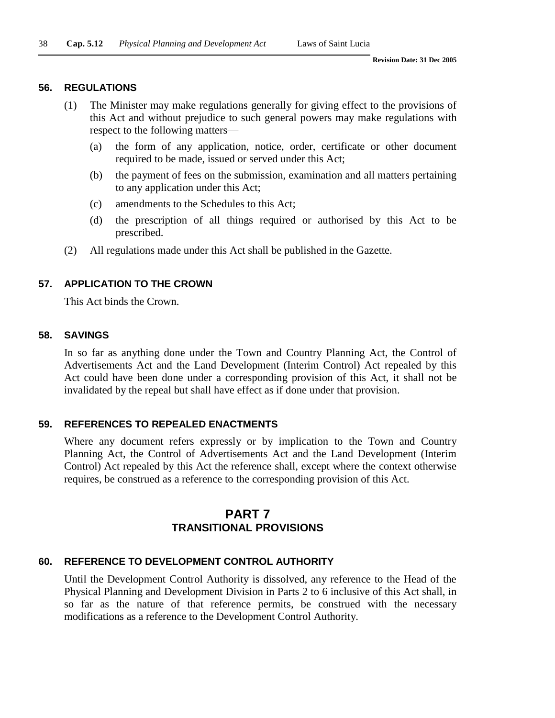#### **56. REGULATIONS**

- (1) The Minister may make regulations generally for giving effect to the provisions of this Act and without prejudice to such general powers may make regulations with respect to the following matters—
	- (a) the form of any application, notice, order, certificate or other document required to be made, issued or served under this Act;
	- (b) the payment of fees on the submission, examination and all matters pertaining to any application under this Act;
	- (c) amendments to the Schedules to this Act;
	- (d) the prescription of all things required or authorised by this Act to be prescribed.
- (2) All regulations made under this Act shall be published in the Gazette.

### **57. APPLICATION TO THE CROWN**

This Act binds the Crown.

#### **58. SAVINGS**

In so far as anything done under the Town and Country Planning Act, the Control of Advertisements Act and the Land Development (Interim Control) Act repealed by this Act could have been done under a corresponding provision of this Act, it shall not be invalidated by the repeal but shall have effect as if done under that provision.

#### **59. REFERENCES TO REPEALED ENACTMENTS**

Where any document refers expressly or by implication to the Town and Country Planning Act, the Control of Advertisements Act and the Land Development (Interim Control) Act repealed by this Act the reference shall, except where the context otherwise requires, be construed as a reference to the corresponding provision of this Act.

# **PART 7 TRANSITIONAL PROVISIONS**

#### **60. REFERENCE TO DEVELOPMENT CONTROL AUTHORITY**

Until the Development Control Authority is dissolved, any reference to the Head of the Physical Planning and Development Division in Parts 2 to 6 inclusive of this Act shall, in so far as the nature of that reference permits, be construed with the necessary modifications as a reference to the Development Control Authority.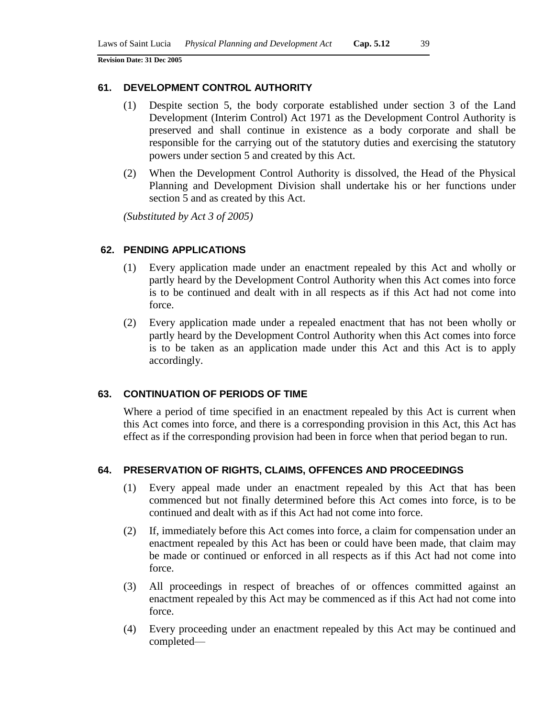#### **61. DEVELOPMENT CONTROL AUTHORITY**

- (1) Despite section 5, the body corporate established under section 3 of the Land Development (Interim Control) Act 1971 as the Development Control Authority is preserved and shall continue in existence as a body corporate and shall be responsible for the carrying out of the statutory duties and exercising the statutory powers under section 5 and created by this Act.
- (2) When the Development Control Authority is dissolved, the Head of the Physical Planning and Development Division shall undertake his or her functions under section 5 and as created by this Act.

*(Substituted by Act 3 of 2005)*

#### **62. PENDING APPLICATIONS**

- (1) Every application made under an enactment repealed by this Act and wholly or partly heard by the Development Control Authority when this Act comes into force is to be continued and dealt with in all respects as if this Act had not come into force.
- (2) Every application made under a repealed enactment that has not been wholly or partly heard by the Development Control Authority when this Act comes into force is to be taken as an application made under this Act and this Act is to apply accordingly.

### **63. CONTINUATION OF PERIODS OF TIME**

Where a period of time specified in an enactment repealed by this Act is current when this Act comes into force, and there is a corresponding provision in this Act, this Act has effect as if the corresponding provision had been in force when that period began to run.

### **64. PRESERVATION OF RIGHTS, CLAIMS, OFFENCES AND PROCEEDINGS**

- (1) Every appeal made under an enactment repealed by this Act that has been commenced but not finally determined before this Act comes into force, is to be continued and dealt with as if this Act had not come into force.
- (2) If, immediately before this Act comes into force, a claim for compensation under an enactment repealed by this Act has been or could have been made, that claim may be made or continued or enforced in all respects as if this Act had not come into force.
- (3) All proceedings in respect of breaches of or offences committed against an enactment repealed by this Act may be commenced as if this Act had not come into force.
- (4) Every proceeding under an enactment repealed by this Act may be continued and completed—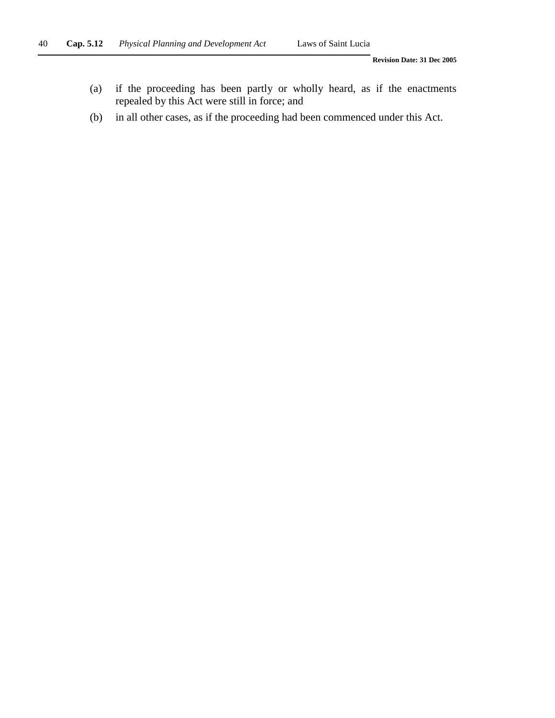- (a) if the proceeding has been partly or wholly heard, as if the enactments repealed by this Act were still in force; and
- (b) in all other cases, as if the proceeding had been commenced under this Act.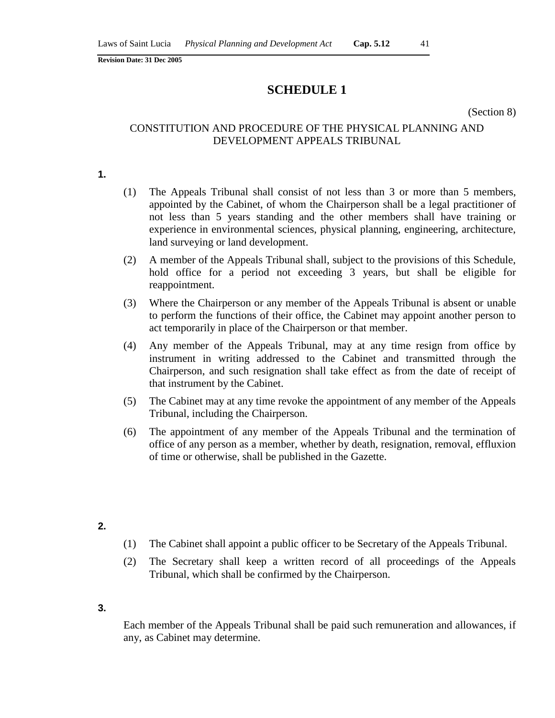# **SCHEDULE 1**

(Section 8)

### CONSTITUTION AND PROCEDURE OF THE PHYSICAL PLANNING AND DEVELOPMENT APPEALS TRIBUNAL

**1.**

- (1) The Appeals Tribunal shall consist of not less than 3 or more than 5 members, appointed by the Cabinet, of whom the Chairperson shall be a legal practitioner of not less than 5 years standing and the other members shall have training or experience in environmental sciences, physical planning, engineering, architecture, land surveying or land development.
- (2) A member of the Appeals Tribunal shall, subject to the provisions of this Schedule, hold office for a period not exceeding 3 years, but shall be eligible for reappointment.
- (3) Where the Chairperson or any member of the Appeals Tribunal is absent or unable to perform the functions of their office, the Cabinet may appoint another person to act temporarily in place of the Chairperson or that member.
- (4) Any member of the Appeals Tribunal, may at any time resign from office by instrument in writing addressed to the Cabinet and transmitted through the Chairperson, and such resignation shall take effect as from the date of receipt of that instrument by the Cabinet.
- (5) The Cabinet may at any time revoke the appointment of any member of the Appeals Tribunal, including the Chairperson.
- (6) The appointment of any member of the Appeals Tribunal and the termination of office of any person as a member, whether by death, resignation, removal, effluxion of time or otherwise, shall be published in the Gazette.
- **2.**
- (1) The Cabinet shall appoint a public officer to be Secretary of the Appeals Tribunal.
- (2) The Secretary shall keep a written record of all proceedings of the Appeals Tribunal, which shall be confirmed by the Chairperson.
- **3.**

Each member of the Appeals Tribunal shall be paid such remuneration and allowances, if any, as Cabinet may determine.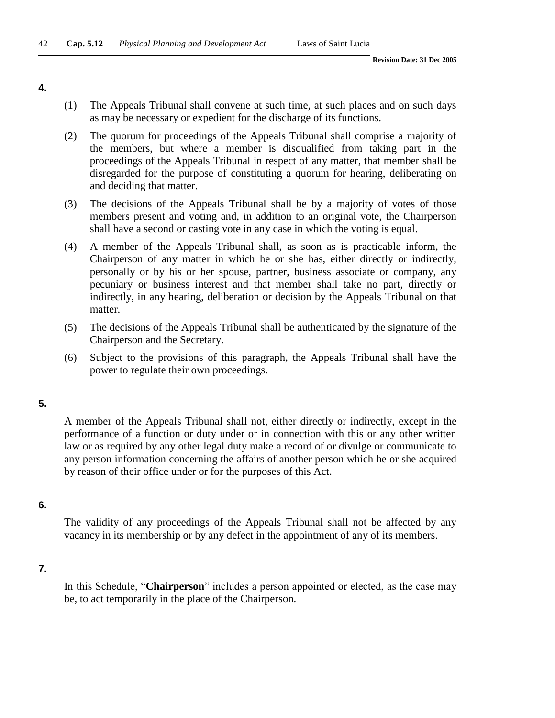**4.**

- (1) The Appeals Tribunal shall convene at such time, at such places and on such days as may be necessary or expedient for the discharge of its functions.
- (2) The quorum for proceedings of the Appeals Tribunal shall comprise a majority of the members, but where a member is disqualified from taking part in the proceedings of the Appeals Tribunal in respect of any matter, that member shall be disregarded for the purpose of constituting a quorum for hearing, deliberating on and deciding that matter.
- (3) The decisions of the Appeals Tribunal shall be by a majority of votes of those members present and voting and, in addition to an original vote, the Chairperson shall have a second or casting vote in any case in which the voting is equal.
- (4) A member of the Appeals Tribunal shall, as soon as is practicable inform, the Chairperson of any matter in which he or she has, either directly or indirectly, personally or by his or her spouse, partner, business associate or company, any pecuniary or business interest and that member shall take no part, directly or indirectly, in any hearing, deliberation or decision by the Appeals Tribunal on that matter.
- (5) The decisions of the Appeals Tribunal shall be authenticated by the signature of the Chairperson and the Secretary.
- (6) Subject to the provisions of this paragraph, the Appeals Tribunal shall have the power to regulate their own proceedings.

**5.**

A member of the Appeals Tribunal shall not, either directly or indirectly, except in the performance of a function or duty under or in connection with this or any other written law or as required by any other legal duty make a record of or divulge or communicate to any person information concerning the affairs of another person which he or she acquired by reason of their office under or for the purposes of this Act.

#### **6.**

The validity of any proceedings of the Appeals Tribunal shall not be affected by any vacancy in its membership or by any defect in the appointment of any of its members.

### **7.**

In this Schedule, "**Chairperson**" includes a person appointed or elected, as the case may be, to act temporarily in the place of the Chairperson.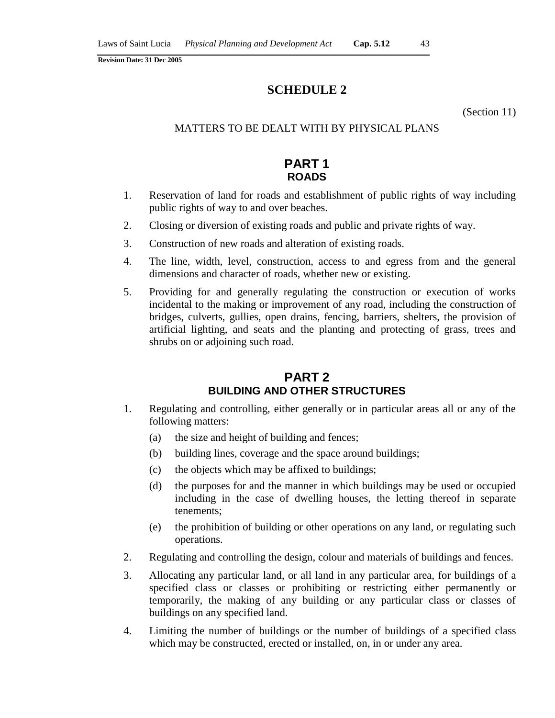# **SCHEDULE 2**

(Section 11)

### MATTERS TO BE DEALT WITH BY PHYSICAL PLANS

# **PART 1 ROADS**

- 1. Reservation of land for roads and establishment of public rights of way including public rights of way to and over beaches.
- 2. Closing or diversion of existing roads and public and private rights of way.
- 3. Construction of new roads and alteration of existing roads.
- 4. The line, width, level, construction, access to and egress from and the general dimensions and character of roads, whether new or existing.
- 5. Providing for and generally regulating the construction or execution of works incidental to the making or improvement of any road, including the construction of bridges, culverts, gullies, open drains, fencing, barriers, shelters, the provision of artificial lighting, and seats and the planting and protecting of grass, trees and shrubs on or adjoining such road.

# **PART 2 BUILDING AND OTHER STRUCTURES**

- 1. Regulating and controlling, either generally or in particular areas all or any of the following matters:
	- (a) the size and height of building and fences;
	- (b) building lines, coverage and the space around buildings;
	- (c) the objects which may be affixed to buildings;
	- (d) the purposes for and the manner in which buildings may be used or occupied including in the case of dwelling houses, the letting thereof in separate tenements;
	- (e) the prohibition of building or other operations on any land, or regulating such operations.
- 2. Regulating and controlling the design, colour and materials of buildings and fences.
- 3. Allocating any particular land, or all land in any particular area, for buildings of a specified class or classes or prohibiting or restricting either permanently or temporarily, the making of any building or any particular class or classes of buildings on any specified land.
- 4. Limiting the number of buildings or the number of buildings of a specified class which may be constructed, erected or installed, on, in or under any area.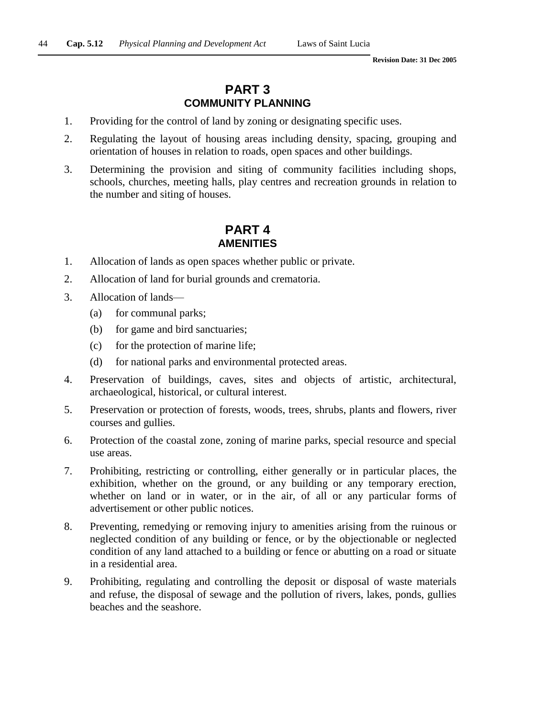# **PART 3 COMMUNITY PLANNING**

- 1. Providing for the control of land by zoning or designating specific uses.
- 2. Regulating the layout of housing areas including density, spacing, grouping and orientation of houses in relation to roads, open spaces and other buildings.
- 3. Determining the provision and siting of community facilities including shops, schools, churches, meeting halls, play centres and recreation grounds in relation to the number and siting of houses.

# **PART 4 AMENITIES**

- 1. Allocation of lands as open spaces whether public or private.
- 2. Allocation of land for burial grounds and crematoria.
- 3. Allocation of lands—
	- (a) for communal parks;
	- (b) for game and bird sanctuaries;
	- (c) for the protection of marine life;
	- (d) for national parks and environmental protected areas.
- 4. Preservation of buildings, caves, sites and objects of artistic, architectural, archaeological, historical, or cultural interest.
- 5. Preservation or protection of forests, woods, trees, shrubs, plants and flowers, river courses and gullies.
- 6. Protection of the coastal zone, zoning of marine parks, special resource and special use areas.
- 7. Prohibiting, restricting or controlling, either generally or in particular places, the exhibition, whether on the ground, or any building or any temporary erection, whether on land or in water, or in the air, of all or any particular forms of advertisement or other public notices.
- 8. Preventing, remedying or removing injury to amenities arising from the ruinous or neglected condition of any building or fence, or by the objectionable or neglected condition of any land attached to a building or fence or abutting on a road or situate in a residential area.
- 9. Prohibiting, regulating and controlling the deposit or disposal of waste materials and refuse, the disposal of sewage and the pollution of rivers, lakes, ponds, gullies beaches and the seashore.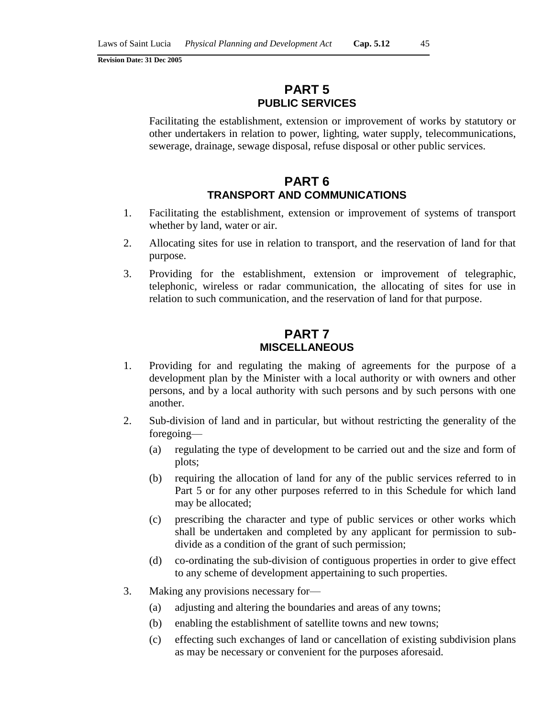# **PART 5 PUBLIC SERVICES**

Facilitating the establishment, extension or improvement of works by statutory or other undertakers in relation to power, lighting, water supply, telecommunications, sewerage, drainage, sewage disposal, refuse disposal or other public services.

# **PART 6 TRANSPORT AND COMMUNICATIONS**

- 1. Facilitating the establishment, extension or improvement of systems of transport whether by land, water or air.
- 2. Allocating sites for use in relation to transport, and the reservation of land for that purpose.
- 3. Providing for the establishment, extension or improvement of telegraphic, telephonic, wireless or radar communication, the allocating of sites for use in relation to such communication, and the reservation of land for that purpose.

# **PART 7 MISCELLANEOUS**

- 1. Providing for and regulating the making of agreements for the purpose of a development plan by the Minister with a local authority or with owners and other persons, and by a local authority with such persons and by such persons with one another.
- 2. Sub-division of land and in particular, but without restricting the generality of the foregoing—
	- (a) regulating the type of development to be carried out and the size and form of plots;
	- (b) requiring the allocation of land for any of the public services referred to in Part 5 or for any other purposes referred to in this Schedule for which land may be allocated;
	- (c) prescribing the character and type of public services or other works which shall be undertaken and completed by any applicant for permission to subdivide as a condition of the grant of such permission;
	- (d) co-ordinating the sub-division of contiguous properties in order to give effect to any scheme of development appertaining to such properties.
- 3. Making any provisions necessary for—
	- (a) adjusting and altering the boundaries and areas of any towns;
	- (b) enabling the establishment of satellite towns and new towns;
	- (c) effecting such exchanges of land or cancellation of existing subdivision plans as may be necessary or convenient for the purposes aforesaid.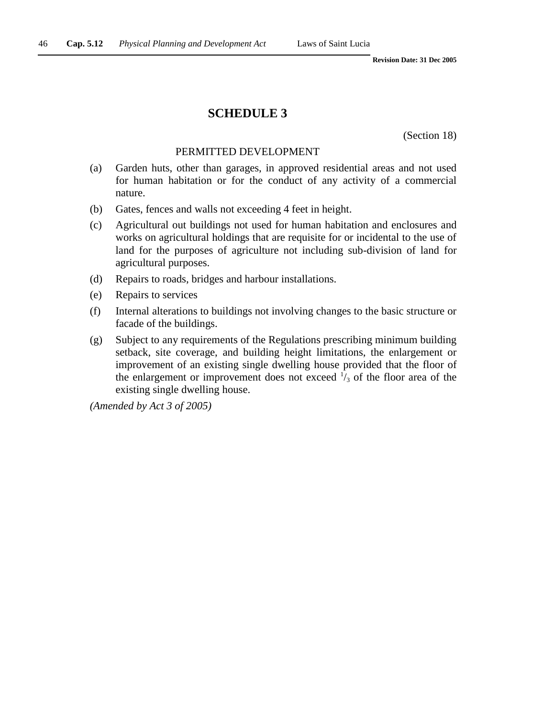### **SCHEDULE 3**

(Section 18)

#### PERMITTED DEVELOPMENT

- (a) Garden huts, other than garages, in approved residential areas and not used for human habitation or for the conduct of any activity of a commercial nature.
- (b) Gates, fences and walls not exceeding 4 feet in height.
- (c) Agricultural out buildings not used for human habitation and enclosures and works on agricultural holdings that are requisite for or incidental to the use of land for the purposes of agriculture not including sub-division of land for agricultural purposes.
- (d) Repairs to roads, bridges and harbour installations.
- (e) Repairs to services
- (f) Internal alterations to buildings not involving changes to the basic structure or facade of the buildings.
- (g) Subject to any requirements of the Regulations prescribing minimum building setback, site coverage, and building height limitations, the enlargement or improvement of an existing single dwelling house provided that the floor of the enlargement or improvement does not exceed  $\frac{1}{3}$  of the floor area of the existing single dwelling house.

*(Amended by Act 3 of 2005)*